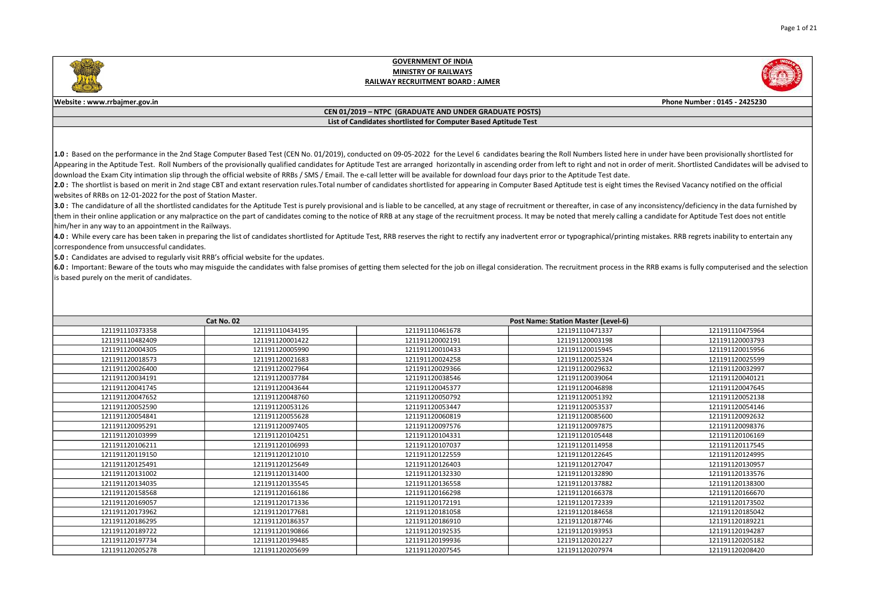



### Website : www.rrbajmer.gov.in Phone Number : 0145 - 2425230

### CEN 01/2019 – NTPC (GRADUATE AND UNDER GRADUATE POSTS) List of Candidates shortlisted for Computer Based Aptitude Test

1.0 : Based on the performance in the 2nd Stage Computer Based Test (CEN No. 01/2019), conducted on 09-05-2022 for the Level 6 candidates bearing the Roll Numbers listed here in under have been provisionally shortlisted for Appearing in the Aptitude Test. Roll Numbers of the provisionally qualified candidates for Aptitude Test are arranged horizontally in ascending order from left to right and not in order of merit. Shortlisted Candidates wil download the Exam City intimation slip through the official website of RRBs / SMS / Email. The e-call letter will be available for download four days prior to the Aptitude Test date.

2.0 : The shortlist is based on merit in 2nd stage CBT and extant reservation rules. Total number of candidates shortlisted for appearing in Computer Based Aptitude test is eight times the Revised Vacancy notified on the o websites of RRBs on 12-01-2022 for the post of Station Master.

3.0 : The candidature of all the shortlisted candidates for the Aptitude Test is purely provisional and is liable to be cancelled, at any stage of recruitment or thereafter, in case of any inconsistency/deficiency in the d them in their online application or any malpractice on the part of candidates coming to the notice of RRB at any stage of the recruitment process. It may be noted that merely calling a candidate for Aptitude Test does not him/her in any way to an appointment in the Railways.

4.0: While every care has been taken in preparing the list of candidates shortlisted for Aptitude Test, RRB reserves the right to rectify any inadvertent error or typographical/printing mistakes. RRB regrets inability to e correspondence from unsuccessful candidates.

**5.0** : Candidates are advised to regularly visit RRB's official website for the updates.

6.0 : Important: Beware of the touts who may misguide the candidates with false promises of getting them selected for the job on illegal consideration. The recruitment process in the RRB exams is fully computerised and the is based purely on the merit of candidates.

|                 | Cat No. 02      |                 | Post Name: Station Master (Level-6) |                 |
|-----------------|-----------------|-----------------|-------------------------------------|-----------------|
| 121191110373358 | 121191110434195 | 121191110461678 | 121191110471337                     | 121191110475964 |
| 121191110482409 | 121191120001422 | 121191120002191 | 121191120003198                     | 121191120003793 |
| 121191120004305 | 121191120005990 | 121191120010433 | 121191120015945                     | 121191120015956 |
| 121191120018573 | 121191120021683 | 121191120024258 | 121191120025324                     | 121191120025599 |
| 121191120026400 | 121191120027964 | 121191120029366 | 121191120029632                     | 121191120032997 |
| 121191120034191 | 121191120037784 | 121191120038546 | 121191120039064                     | 121191120040121 |
| 121191120041745 | 121191120043644 | 121191120045377 | 121191120046898                     | 121191120047645 |
| 121191120047652 | 121191120048760 | 121191120050792 | 121191120051392                     | 121191120052138 |
| 121191120052590 | 121191120053126 | 121191120053447 | 121191120053537                     | 121191120054146 |
| 121191120054841 | 121191120055628 | 121191120060819 | 121191120085600                     | 121191120092632 |
| 121191120095291 | 121191120097405 | 121191120097576 | 121191120097875                     | 121191120098376 |
| 121191120103999 | 121191120104251 | 121191120104331 | 121191120105448                     | 121191120106169 |
| 121191120106211 | 121191120106993 | 121191120107037 | 121191120114958                     | 121191120117545 |
| 121191120119150 | 121191120121010 | 121191120122559 | 121191120122645                     | 121191120124995 |
| 121191120125491 | 121191120125649 | 121191120126403 | 121191120127047                     | 121191120130957 |
| 121191120131002 | 121191120131400 | 121191120132330 | 121191120132890                     | 121191120133576 |
| 121191120134035 | 121191120135545 | 121191120136558 | 121191120137882                     | 121191120138300 |
| 121191120158568 | 121191120166186 | 121191120166298 | 121191120166378                     | 121191120166670 |
| 121191120169057 | 121191120171336 | 121191120172191 | 121191120172339                     | 121191120173502 |
| 121191120173962 | 121191120177681 | 121191120181058 | 121191120184658                     | 121191120185042 |
| 121191120186295 | 121191120186357 | 121191120186910 | 121191120187746                     | 121191120189221 |
| 121191120189722 | 121191120190866 | 121191120192535 | 121191120193953                     | 121191120194287 |
| 121191120197734 | 121191120199485 | 121191120199936 | 121191120201227                     | 121191120205182 |
| 121191120205278 | 121191120205699 | 121191120207545 | 121191120207974                     | 121191120208420 |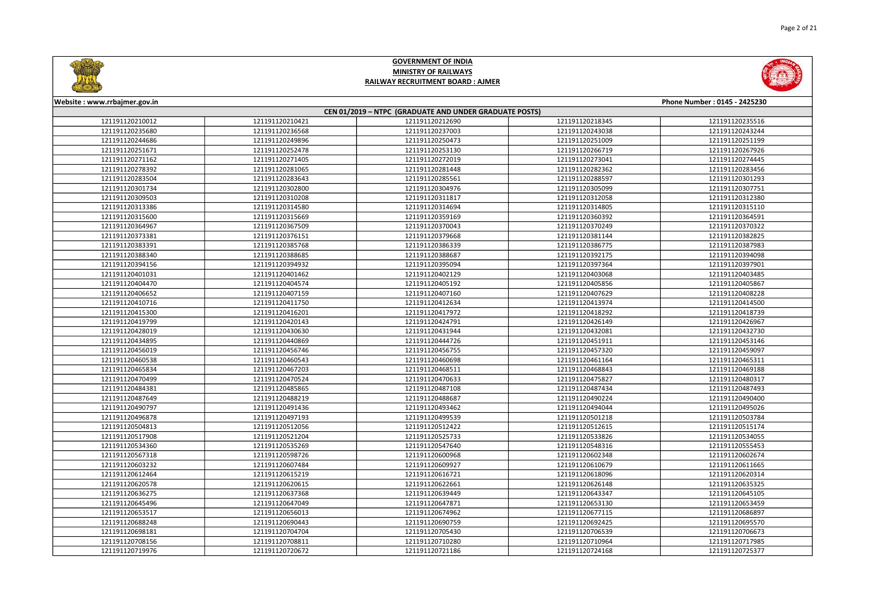



| Website: www.rrbajmer.gov.in                           |                 |                 |                 | Phone Number: 0145 - 2425230 |  |
|--------------------------------------------------------|-----------------|-----------------|-----------------|------------------------------|--|
| CEN 01/2019 - NTPC (GRADUATE AND UNDER GRADUATE POSTS) |                 |                 |                 |                              |  |
| 121191120210012                                        | 121191120210421 | 121191120212690 | 121191120218345 | 121191120235516              |  |
| 121191120235680                                        | 121191120236568 | 121191120237003 | 121191120243038 | 121191120243244              |  |
| 121191120244686                                        | 121191120249896 | 121191120250473 | 121191120251009 | 121191120251199              |  |
| 121191120251671                                        | 121191120252478 | 121191120253130 | 121191120266719 | 121191120267926              |  |
| 121191120271162                                        | 121191120271405 | 121191120272019 | 121191120273041 | 121191120274445              |  |
| 121191120278392                                        | 121191120281065 | 121191120281448 | 121191120282362 | 121191120283456              |  |
| 121191120283504                                        | 121191120283643 | 121191120285561 | 121191120288597 | 121191120301293              |  |
| 121191120301734                                        | 121191120302800 | 121191120304976 | 121191120305099 | 121191120307751              |  |
| 121191120309503                                        | 121191120310208 | 121191120311817 | 121191120312058 | 121191120312380              |  |
| 121191120313386                                        | 121191120314580 | 121191120314694 | 121191120314805 | 121191120315110              |  |
| 121191120315600                                        | 121191120315669 | 121191120359169 | 121191120360392 | 121191120364591              |  |
| 121191120364967                                        | 121191120367509 | 121191120370043 | 121191120370249 | 121191120370322              |  |
| 121191120373381                                        | 121191120376151 | 121191120379668 | 121191120381144 | 121191120382825              |  |
| 121191120383391                                        | 121191120385768 | 121191120386339 | 121191120386775 | 121191120387983              |  |
| 121191120388340                                        | 121191120388685 | 121191120388687 | 121191120392175 | 121191120394098              |  |
| 121191120394156                                        | 121191120394932 | 121191120395094 | 121191120397364 | 121191120397901              |  |
| 121191120401031                                        | 121191120401462 | 121191120402129 | 121191120403068 | 121191120403485              |  |
| 121191120404470                                        | 121191120404574 | 121191120405192 | 121191120405856 | 121191120405867              |  |
| 121191120406652                                        | 121191120407159 | 121191120407160 | 121191120407629 | 121191120408228              |  |
| 121191120410716                                        | 121191120411750 | 121191120412634 | 121191120413974 | 121191120414500              |  |
| 121191120415300                                        | 121191120416201 | 121191120417972 | 121191120418292 | 121191120418739              |  |
| 121191120419799                                        | 121191120420143 | 121191120424791 | 121191120426149 | 121191120426967              |  |
| 121191120428019                                        | 121191120430630 | 121191120431944 | 121191120432081 | 121191120432730              |  |
| 121191120434895                                        | 121191120440869 | 121191120444726 | 121191120451911 | 121191120453146              |  |
| 121191120456019                                        | 121191120456746 | 121191120456755 | 121191120457320 | 121191120459097              |  |
| 121191120460538                                        | 121191120460543 | 121191120460698 | 121191120461164 | 121191120465311              |  |
| 121191120465834                                        | 121191120467203 | 121191120468511 | 121191120468843 | 121191120469188              |  |
| 121191120470499                                        | 121191120470524 | 121191120470633 | 121191120475827 | 121191120480317              |  |
| 121191120484381                                        | 121191120485865 | 121191120487108 | 121191120487434 | 121191120487493              |  |
| 121191120487649                                        | 121191120488219 | 121191120488687 | 121191120490224 | 121191120490400              |  |
| 121191120490797                                        | 121191120491436 | 121191120493462 | 121191120494044 | 121191120495026              |  |
| 121191120496878                                        | 121191120497193 | 121191120499539 | 121191120501218 | 121191120503784              |  |
| 121191120504813                                        | 121191120512056 | 121191120512422 | 121191120512615 | 121191120515174              |  |
| 121191120517908                                        | 121191120521204 | 121191120525733 | 121191120533826 | 121191120534055              |  |
| 121191120534360                                        | 121191120535269 | 121191120547640 | 121191120548316 | 121191120555453              |  |
| 121191120567318                                        | 121191120598726 | 121191120600968 | 121191120602348 | 121191120602674              |  |
| 121191120603232                                        | 121191120607484 | 121191120609927 | 121191120610679 | 121191120611665              |  |
| 121191120612464                                        | 121191120615219 | 121191120616721 | 121191120618096 | 121191120620314              |  |
| 121191120620578                                        | 121191120620615 | 121191120622661 | 121191120626148 | 121191120635325              |  |
| 121191120636275                                        | 121191120637368 | 121191120639449 | 121191120643347 | 121191120645105              |  |
| 121191120645496                                        | 121191120647049 | 121191120647871 | 121191120653130 | 121191120653459              |  |
| 121191120653517                                        | 121191120656013 | 121191120674962 | 121191120677115 | 121191120686897              |  |
| 121191120688248                                        | 121191120690443 | 121191120690759 | 121191120692425 | 121191120695570              |  |
| 121191120698181                                        | 121191120704704 | 121191120705430 | 121191120706539 | 121191120706673              |  |
| 121191120708156                                        | 121191120708811 | 121191120710280 | 121191120710964 | 121191120717985              |  |
| 121191120719976                                        | 121191120720672 | 121191120721186 | 121191120724168 | 121191120725377              |  |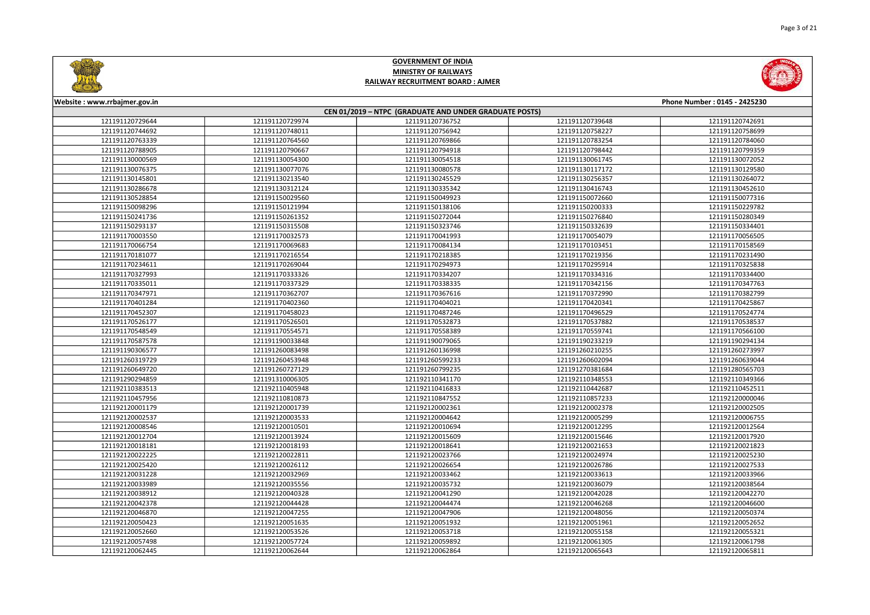



| Phone Number: 0145 - 2425230<br>Website: www.rrbajmer.gov.in |                 |                 |                 |                 |  |
|--------------------------------------------------------------|-----------------|-----------------|-----------------|-----------------|--|
| CEN 01/2019 - NTPC (GRADUATE AND UNDER GRADUATE POSTS)       |                 |                 |                 |                 |  |
| 121191120729644                                              | 121191120729974 | 121191120736752 | 121191120739648 | 121191120742691 |  |
| 121191120744692                                              | 121191120748011 | 121191120756942 | 121191120758227 | 121191120758699 |  |
| 121191120763339                                              | 121191120764560 | 121191120769866 | 121191120783254 | 121191120784060 |  |
| 121191120788905                                              | 121191120790667 | 121191120794918 | 121191120798442 | 121191120799359 |  |
| 121191130000569                                              | 121191130054300 | 121191130054518 | 121191130061745 | 121191130072052 |  |
| 121191130076375                                              | 121191130077076 | 121191130080578 | 121191130117172 | 121191130129580 |  |
| 121191130145801                                              | 121191130213540 | 121191130245529 | 121191130256357 | 121191130264072 |  |
| 121191130286678                                              | 121191130312124 | 121191130335342 | 121191130416743 | 121191130452610 |  |
| 121191130528854                                              | 121191150029560 | 121191150049923 | 121191150072660 | 121191150077316 |  |
| 121191150098296                                              | 121191150121994 | 121191150138106 | 121191150200333 | 121191150229782 |  |
| 121191150241736                                              | 121191150261352 | 121191150272044 | 121191150276840 | 121191150280349 |  |
| 121191150293137                                              | 121191150315508 | 121191150323746 | 121191150332639 | 121191150334401 |  |
| 121191170003550                                              | 121191170032573 | 121191170041993 | 121191170054079 | 121191170056505 |  |
| 121191170066754                                              | 121191170069683 | 121191170084134 | 121191170103451 | 121191170158569 |  |
| 121191170181077                                              | 121191170216554 | 121191170218385 | 121191170219356 | 121191170231490 |  |
| 121191170234611                                              | 121191170269044 | 121191170294973 | 121191170295914 | 121191170325838 |  |
| 121191170327993                                              | 121191170333326 | 121191170334207 | 121191170334316 | 121191170334400 |  |
| 121191170335011                                              | 121191170337329 | 121191170338335 | 121191170342156 | 121191170347763 |  |
| 121191170347971                                              | 121191170362707 | 121191170367616 | 121191170372990 | 121191170382799 |  |
| 121191170401284                                              | 121191170402360 | 121191170404021 | 121191170420341 | 121191170425867 |  |
| 121191170452307                                              | 121191170458023 | 121191170487246 | 121191170496529 | 121191170524774 |  |
| 121191170526177                                              | 121191170526501 | 121191170532873 | 121191170537882 | 121191170538537 |  |
| 121191170548549                                              | 121191170554571 | 121191170558389 | 121191170559741 | 121191170566100 |  |
| 121191170587578                                              | 121191190033848 | 121191190079065 | 121191190233219 | 121191190294134 |  |
| 121191190306577                                              | 121191260083498 | 121191260136998 | 121191260210255 | 121191260273997 |  |
| 121191260319729                                              | 121191260453948 | 121191260599233 | 121191260602094 | 121191260639044 |  |
| 121191260649720                                              | 121191260727129 | 121191260799235 | 121191270381684 | 121191280565703 |  |
| 121191290294859                                              | 121191310006305 | 121192110341170 | 121192110348553 | 121192110349366 |  |
| 121192110383513                                              | 121192110405948 | 121192110416833 | 121192110442687 | 121192110452511 |  |
| 121192110457956                                              | 121192110810873 | 121192110847552 | 121192110857233 | 121192120000046 |  |
| 121192120001179                                              | 121192120001739 | 121192120002361 | 121192120002378 | 121192120002505 |  |
| 121192120002537                                              | 121192120003533 | 121192120004642 | 121192120005299 | 121192120006755 |  |
| 121192120008546                                              | 121192120010501 | 121192120010694 | 121192120012295 | 121192120012564 |  |
| 121192120012704                                              | 121192120013924 | 121192120015609 | 121192120015646 | 121192120017920 |  |
| 121192120018181                                              | 121192120018193 | 121192120018641 | 121192120021653 | 121192120021823 |  |
| 121192120022225                                              | 121192120022811 | 121192120023766 | 121192120024974 | 121192120025230 |  |
| 121192120025420                                              | 121192120026112 | 121192120026654 | 121192120026786 | 121192120027533 |  |
| 121192120031228                                              | 121192120032969 | 121192120033462 | 121192120033613 | 121192120033966 |  |
| 121192120033989                                              | 121192120035556 | 121192120035732 | 121192120036079 | 121192120038564 |  |
| 121192120038912                                              | 121192120040328 | 121192120041290 | 121192120042028 | 121192120042270 |  |
| 121192120042378                                              | 121192120044428 | 121192120044474 | 121192120046268 | 121192120046600 |  |
| 121192120046870                                              | 121192120047255 | 121192120047906 | 121192120048056 | 121192120050374 |  |
| 121192120050423                                              | 121192120051635 | 121192120051932 | 121192120051961 | 121192120052652 |  |
| 121192120052660                                              | 121192120053526 | 121192120053718 | 121192120055158 | 121192120055321 |  |
| 121192120057498                                              | 121192120057724 | 121192120059892 | 121192120061305 | 121192120061798 |  |
| 121192120062445                                              | 121192120062644 | 121192120062864 | 121192120065643 | 121192120065811 |  |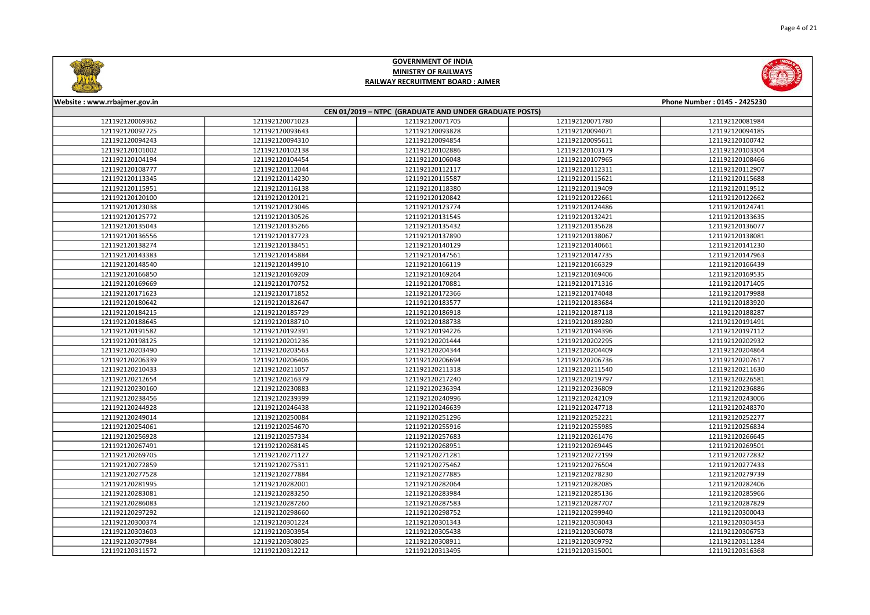



| Website: www.rrbajmer.gov.in<br>Phone Number: 0145 - 2425230 |                 |                 |                 |                 |  |
|--------------------------------------------------------------|-----------------|-----------------|-----------------|-----------------|--|
| CEN 01/2019 - NTPC (GRADUATE AND UNDER GRADUATE POSTS)       |                 |                 |                 |                 |  |
| 121192120069362                                              | 121192120071023 | 121192120071705 | 121192120071780 | 121192120081984 |  |
| 121192120092725                                              | 121192120093643 | 121192120093828 | 121192120094071 | 121192120094185 |  |
| 121192120094243                                              | 121192120094310 | 121192120094854 | 121192120095611 | 121192120100742 |  |
| 121192120101002                                              | 121192120102138 | 121192120102886 | 121192120103179 | 121192120103304 |  |
| 121192120104194                                              | 121192120104454 | 121192120106048 | 121192120107965 | 121192120108466 |  |
| 121192120108777                                              | 121192120112044 | 121192120112117 | 121192120112311 | 121192120112907 |  |
| 121192120113345                                              | 121192120114230 | 121192120115587 | 121192120115621 | 121192120115688 |  |
| 121192120115951                                              | 121192120116138 | 121192120118380 | 121192120119409 | 121192120119512 |  |
| 121192120120100                                              | 121192120120121 | 121192120120842 | 121192120122661 | 121192120122662 |  |
| 121192120123038                                              | 121192120123046 | 121192120123774 | 121192120124486 | 121192120124741 |  |
| 121192120125772                                              | 121192120130526 | 121192120131545 | 121192120132421 | 121192120133635 |  |
| 121192120135043                                              | 121192120135266 | 121192120135432 | 121192120135628 | 121192120136077 |  |
| 121192120136556                                              | 121192120137723 | 121192120137890 | 121192120138067 | 121192120138081 |  |
| 121192120138274                                              | 121192120138451 | 121192120140129 | 121192120140661 | 121192120141230 |  |
| 121192120143383                                              | 121192120145884 | 121192120147561 | 121192120147735 | 121192120147963 |  |
| 121192120148540                                              | 121192120149910 | 121192120166119 | 121192120166329 | 121192120166439 |  |
| 121192120166850                                              | 121192120169209 | 121192120169264 | 121192120169406 | 121192120169535 |  |
| 121192120169669                                              | 121192120170752 | 121192120170881 | 121192120171316 | 121192120171405 |  |
| 121192120171623                                              | 121192120171852 | 121192120172366 | 121192120174048 | 121192120179988 |  |
| 121192120180642                                              | 121192120182647 | 121192120183577 | 121192120183684 | 121192120183920 |  |
| 121192120184215                                              | 121192120185729 | 121192120186918 | 121192120187118 | 121192120188287 |  |
| 121192120188645                                              | 121192120188710 | 121192120188738 | 121192120189280 | 121192120191491 |  |
| 121192120191582                                              | 121192120192391 | 121192120194226 | 121192120194396 | 121192120197112 |  |
| 121192120198125                                              | 121192120201236 | 121192120201444 | 121192120202295 | 121192120202932 |  |
| 121192120203490                                              | 121192120203563 | 121192120204344 | 121192120204409 | 121192120204864 |  |
| 121192120206339                                              | 121192120206406 | 121192120206694 | 121192120206736 | 121192120207617 |  |
| 121192120210433                                              | 121192120211057 | 121192120211318 | 121192120211540 | 121192120211630 |  |
| 121192120212654                                              | 121192120216379 | 121192120217240 | 121192120219797 | 121192120226581 |  |
| 121192120230160                                              | 121192120230883 | 121192120236394 | 121192120236809 | 121192120236886 |  |
| 121192120238456                                              | 121192120239399 | 121192120240996 | 121192120242109 | 121192120243006 |  |
| 121192120244928                                              | 121192120246438 | 121192120246639 | 121192120247718 | 121192120248370 |  |
| 121192120249014                                              | 121192120250084 | 121192120251296 | 121192120252221 | 121192120252277 |  |
| 121192120254061                                              | 121192120254670 | 121192120255916 | 121192120255985 | 121192120256834 |  |
| 121192120256928                                              | 121192120257334 | 121192120257683 | 121192120261476 | 121192120266645 |  |
| 121192120267491                                              | 121192120268145 | 121192120268951 | 121192120269445 | 121192120269501 |  |
| 121192120269705                                              | 121192120271127 | 121192120271281 | 121192120272199 | 121192120272832 |  |
| 121192120272859                                              | 121192120275311 | 121192120275462 | 121192120276504 | 121192120277433 |  |
| 121192120277528                                              | 121192120277884 | 121192120277885 | 121192120278230 | 121192120279739 |  |
| 121192120281995                                              | 121192120282001 | 121192120282064 | 121192120282085 | 121192120282406 |  |
| 121192120283081                                              | 121192120283250 | 121192120283984 | 121192120285136 | 121192120285966 |  |
| 121192120286083                                              | 121192120287260 | 121192120287583 | 121192120287707 | 121192120287829 |  |
| 121192120297292                                              | 121192120298660 | 121192120298752 | 121192120299940 | 121192120300043 |  |
| 121192120300374                                              | 121192120301224 | 121192120301343 | 121192120303043 | 121192120303453 |  |
| 121192120303603                                              | 121192120303954 | 121192120305438 | 121192120306078 | 121192120306753 |  |
| 121192120307984                                              | 121192120308025 | 121192120308911 | 121192120309792 | 121192120311284 |  |
| 121192120311572                                              | 121192120312212 | 121192120313495 | 121192120315001 | 121192120316368 |  |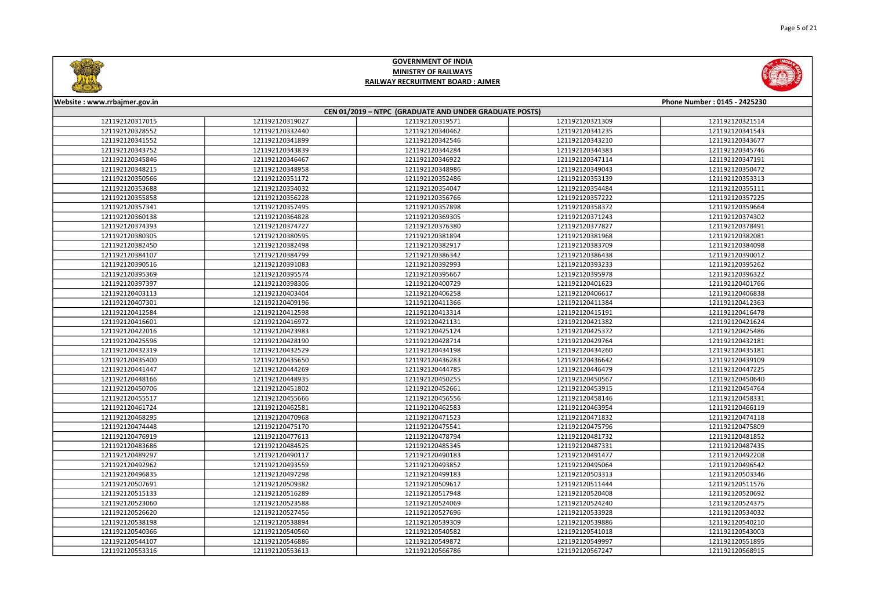



| Website: www.rrbajmer.gov.in                           |                 |                 |                 | Phone Number: 0145 - 2425230 |  |
|--------------------------------------------------------|-----------------|-----------------|-----------------|------------------------------|--|
| CEN 01/2019 - NTPC (GRADUATE AND UNDER GRADUATE POSTS) |                 |                 |                 |                              |  |
| 121192120317015                                        | 121192120319027 | 121192120319571 | 121192120321309 | 121192120321514              |  |
| 121192120328552                                        | 121192120332440 | 121192120340462 | 121192120341235 | 121192120341543              |  |
| 121192120341552                                        | 121192120341899 | 121192120342546 | 121192120343210 | 121192120343677              |  |
| 121192120343752                                        | 121192120343839 | 121192120344284 | 121192120344383 | 121192120345746              |  |
| 121192120345846                                        | 121192120346467 | 121192120346922 | 121192120347114 | 121192120347191              |  |
| 121192120348215                                        | 121192120348958 | 121192120348986 | 121192120349043 | 121192120350472              |  |
| 121192120350566                                        | 121192120351172 | 121192120352486 | 121192120353139 | 121192120353313              |  |
| 121192120353688                                        | 121192120354032 | 121192120354047 | 121192120354484 | 121192120355111              |  |
| 121192120355858                                        | 121192120356228 | 121192120356766 | 121192120357222 | 121192120357225              |  |
| 121192120357341                                        | 121192120357495 | 121192120357898 | 121192120358372 | 121192120359664              |  |
| 121192120360138                                        | 121192120364828 | 121192120369305 | 121192120371243 | 121192120374302              |  |
| 121192120374393                                        | 121192120374727 | 121192120376380 | 121192120377827 | 121192120378491              |  |
| 121192120380305                                        | 121192120380595 | 121192120381894 | 121192120381968 | 121192120382081              |  |
| 121192120382450                                        | 121192120382498 | 121192120382917 | 121192120383709 | 121192120384098              |  |
| 121192120384107                                        | 121192120384799 | 121192120386342 | 121192120386438 | 121192120390012              |  |
| 121192120390516                                        | 121192120391083 | 121192120392993 | 121192120393233 | 121192120395262              |  |
| 121192120395369                                        | 121192120395574 | 121192120395667 | 121192120395978 | 121192120396322              |  |
| 121192120397397                                        | 121192120398306 | 121192120400729 | 121192120401623 | 121192120401766              |  |
| 121192120403113                                        | 121192120403404 | 121192120406258 | 121192120406617 | 121192120406838              |  |
| 121192120407301                                        | 121192120409196 | 121192120411366 | 121192120411384 | 121192120412363              |  |
| 121192120412584                                        | 121192120412598 | 121192120413314 | 121192120415191 | 121192120416478              |  |
| 121192120416601                                        | 121192120416972 | 121192120421131 | 121192120421382 | 121192120421624              |  |
| 121192120422016                                        | 121192120423983 | 121192120425124 | 121192120425372 | 121192120425486              |  |
| 121192120425596                                        | 121192120428190 | 121192120428714 | 121192120429764 | 121192120432181              |  |
| 121192120432319                                        | 121192120432529 | 121192120434198 | 121192120434260 | 121192120435181              |  |
| 121192120435400                                        | 121192120435650 | 121192120436283 | 121192120436642 | 121192120439109              |  |
| 121192120441447                                        | 121192120444269 | 121192120444785 | 121192120446479 | 121192120447225              |  |
| 121192120448166                                        | 121192120448935 | 121192120450255 | 121192120450567 | 121192120450640              |  |
| 121192120450706                                        | 121192120451802 | 121192120452661 | 121192120453915 | 121192120454764              |  |
| 121192120455517                                        | 121192120455666 | 121192120456556 | 121192120458146 | 121192120458331              |  |
| 121192120461724                                        | 121192120462581 | 121192120462583 | 121192120463954 | 121192120466119              |  |
| 121192120468295                                        | 121192120470968 | 121192120471523 | 121192120471832 | 121192120474118              |  |
| 121192120474448                                        | 121192120475170 | 121192120475541 | 121192120475796 | 121192120475809              |  |
| 121192120476919                                        | 121192120477613 | 121192120478794 | 121192120481732 | 121192120481852              |  |
| 121192120483686                                        | 121192120484525 | 121192120485345 | 121192120487331 | 121192120487435              |  |
| 121192120489297                                        | 121192120490117 | 121192120490183 | 121192120491477 | 121192120492208              |  |
| 121192120492962                                        | 121192120493559 | 121192120493852 | 121192120495064 | 121192120496542              |  |
| 121192120496835                                        | 121192120497298 | 121192120499183 | 121192120503313 | 121192120503346              |  |
| 121192120507691                                        | 121192120509382 | 121192120509617 | 121192120511444 | 121192120511576              |  |
| 121192120515133                                        | 121192120516289 | 121192120517948 | 121192120520408 | 121192120520692              |  |
| 121192120523060                                        | 121192120523588 | 121192120524069 | 121192120524240 | 121192120524375              |  |
| 121192120526620                                        | 121192120527456 | 121192120527696 | 121192120533928 | 121192120534032              |  |
| 121192120538198                                        | 121192120538894 | 121192120539309 | 121192120539886 | 121192120540210              |  |
| 121192120540366                                        | 121192120540560 | 121192120540582 | 121192120541018 | 121192120543003              |  |
| 121192120544107                                        | 121192120546886 | 121192120549872 | 121192120549997 | 121192120551895              |  |
| 121192120553316                                        | 121192120553613 | 121192120566786 | 121192120567247 | 121192120568915              |  |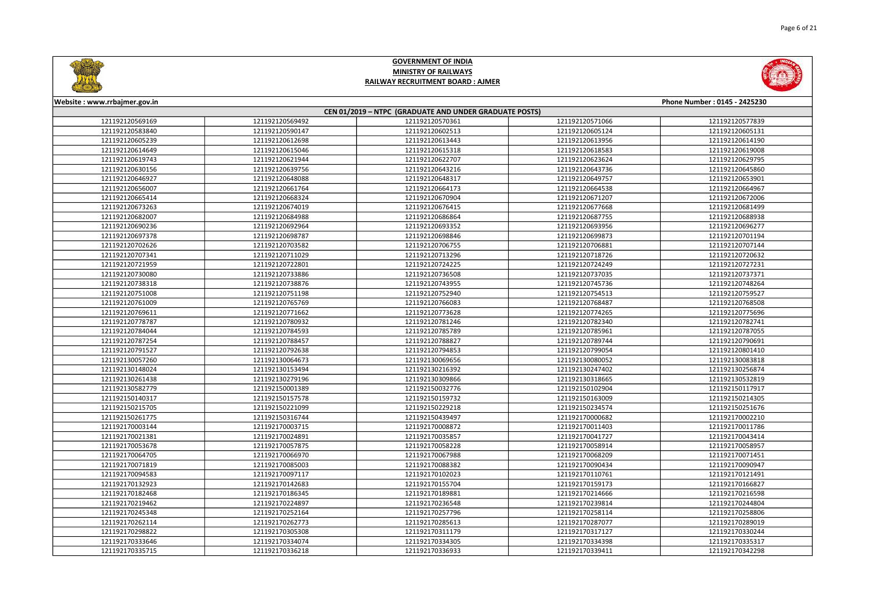



| Website: www.rrbajmer.gov.in                           |                 |                 |                 | Phone Number: 0145 - 2425230 |  |
|--------------------------------------------------------|-----------------|-----------------|-----------------|------------------------------|--|
| CEN 01/2019 - NTPC (GRADUATE AND UNDER GRADUATE POSTS) |                 |                 |                 |                              |  |
| 121192120569169                                        | 121192120569492 | 121192120570361 | 121192120571066 | 121192120577839              |  |
| 121192120583840                                        | 121192120590147 | 121192120602513 | 121192120605124 | 121192120605131              |  |
| 121192120605239                                        | 121192120612698 | 121192120613443 | 121192120613956 | 121192120614190              |  |
| 121192120614649                                        | 121192120615046 | 121192120615318 | 121192120618583 | 121192120619008              |  |
| 121192120619743                                        | 121192120621944 | 121192120622707 | 121192120623624 | 121192120629795              |  |
| 121192120630156                                        | 121192120639756 | 121192120643216 | 121192120643736 | 121192120645860              |  |
| 121192120646927                                        | 121192120648088 | 121192120648317 | 121192120649757 | 121192120653901              |  |
| 121192120656007                                        | 121192120661764 | 121192120664173 | 121192120664538 | 121192120664967              |  |
| 121192120665414                                        | 121192120668324 | 121192120670904 | 121192120671207 | 121192120672006              |  |
| 121192120673263                                        | 121192120674019 | 121192120676415 | 121192120677668 | 121192120681499              |  |
| 121192120682007                                        | 121192120684988 | 121192120686864 | 121192120687755 | 121192120688938              |  |
| 121192120690236                                        | 121192120692964 | 121192120693352 | 121192120693956 | 121192120696277              |  |
| 121192120697378                                        | 121192120698787 | 121192120698846 | 121192120699873 | 121192120701194              |  |
| 121192120702626                                        | 121192120703582 | 121192120706755 | 121192120706881 | 121192120707144              |  |
| 121192120707341                                        | 121192120711029 | 121192120713296 | 121192120718726 | 121192120720632              |  |
| 121192120721959                                        | 121192120722801 | 121192120724225 | 121192120724249 | 121192120727231              |  |
| 121192120730080                                        | 121192120733886 | 121192120736508 | 121192120737035 | 121192120737371              |  |
| 121192120738318                                        | 121192120738876 | 121192120743955 | 121192120745736 | 121192120748264              |  |
| 121192120751008                                        | 121192120751198 | 121192120752940 | 121192120754513 | 121192120759527              |  |
| 121192120761009                                        | 121192120765769 | 121192120766083 | 121192120768487 | 121192120768508              |  |
| 121192120769611                                        | 121192120771662 | 121192120773628 | 121192120774265 | 121192120775696              |  |
| 121192120778787                                        | 121192120780932 | 121192120781246 | 121192120782340 | 121192120782741              |  |
| 121192120784044                                        | 121192120784593 | 121192120785789 | 121192120785961 | 121192120787055              |  |
| 121192120787254                                        | 121192120788457 | 121192120788827 | 121192120789744 | 121192120790691              |  |
| 121192120791527                                        | 121192120792638 | 121192120794853 | 121192120799054 | 121192120801410              |  |
| 121192130057260                                        | 121192130064673 | 121192130069656 | 121192130080052 | 121192130083818              |  |
| 121192130148024                                        | 121192130153494 | 121192130216392 | 121192130247402 | 121192130256874              |  |
| 121192130261438                                        | 121192130279196 | 121192130309866 | 121192130318665 | 121192130532819              |  |
| 121192130582779                                        | 121192150001389 | 121192150032776 | 121192150102904 | 121192150117917              |  |
| 121192150140317                                        | 121192150157578 | 121192150159732 | 121192150163009 | 121192150214305              |  |
| 121192150215705                                        | 121192150221099 | 121192150229218 | 121192150234574 | 121192150251676              |  |
| 121192150261775                                        | 121192150316744 | 121192150439497 | 121192170000682 | 121192170002210              |  |
| 121192170003144                                        | 121192170003715 | 121192170008872 | 121192170011403 | 121192170011786              |  |
| 121192170021381                                        | 121192170024891 | 121192170035857 | 121192170041727 | 121192170043414              |  |
| 121192170053678                                        | 121192170057875 | 121192170058228 | 121192170058914 | 121192170058957              |  |
| 121192170064705                                        | 121192170066970 | 121192170067988 | 121192170068209 | 121192170071451              |  |
| 121192170071819                                        | 121192170085003 | 121192170088382 | 121192170090434 | 121192170090947              |  |
| 121192170094583                                        | 121192170097117 | 121192170102023 | 121192170110761 | 121192170121491              |  |
| 121192170132923                                        | 121192170142683 | 121192170155704 | 121192170159173 | 121192170166827              |  |
| 121192170182468                                        | 121192170186345 | 121192170189881 | 121192170214666 | 121192170216598              |  |
| 121192170219462                                        | 121192170224897 | 121192170236548 | 121192170239814 | 121192170244804              |  |
| 121192170245348                                        | 121192170252164 | 121192170257796 | 121192170258114 | 121192170258806              |  |
| 121192170262114                                        | 121192170262773 | 121192170285613 | 121192170287077 | 121192170289019              |  |
| 121192170298822                                        | 121192170305308 | 121192170311179 | 121192170317127 | 121192170330244              |  |
| 121192170333646                                        | 121192170334074 | 121192170334305 | 121192170334398 | 121192170335317              |  |
| 121192170335715                                        | 121192170336218 | 121192170336933 | 121192170339411 | 121192170342298              |  |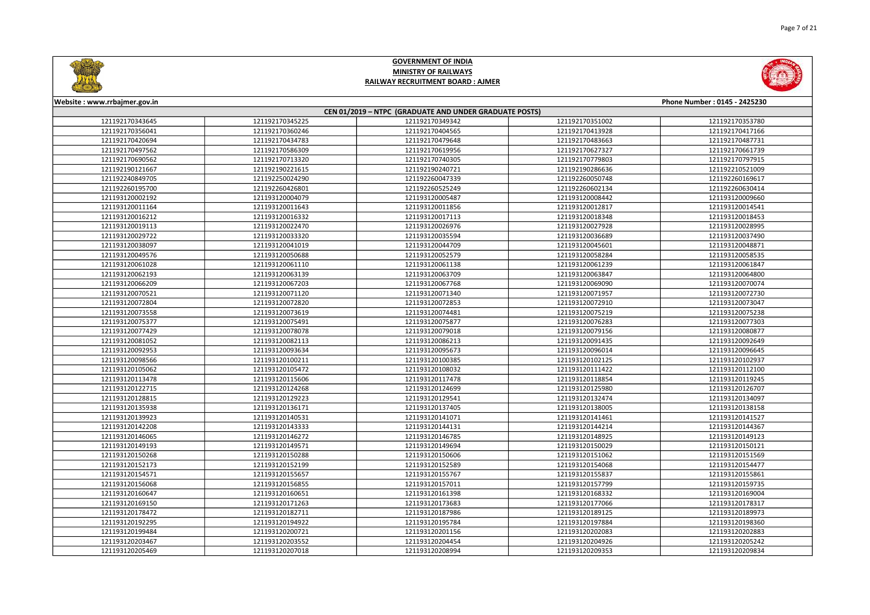



| Website: www.rrbajmer.gov.in<br>Phone Number: 0145 - 2425230 |                                                        |                 |                 |                 |  |  |
|--------------------------------------------------------------|--------------------------------------------------------|-----------------|-----------------|-----------------|--|--|
|                                                              | CEN 01/2019 - NTPC (GRADUATE AND UNDER GRADUATE POSTS) |                 |                 |                 |  |  |
| 121192170343645                                              | 121192170345225                                        | 121192170349342 | 121192170351002 | 121192170353780 |  |  |
| 121192170356041                                              | 121192170360246                                        | 121192170404565 | 121192170413928 | 121192170417166 |  |  |
| 121192170420694                                              | 121192170434783                                        | 121192170479648 | 121192170483663 | 121192170487731 |  |  |
| 121192170497562                                              | 121192170586309                                        | 121192170619956 | 121192170627327 | 121192170661739 |  |  |
| 121192170690562                                              | 121192170713320                                        | 121192170740305 | 121192170779803 | 121192170797915 |  |  |
| 121192190121667                                              | 121192190221615                                        | 121192190240721 | 121192190286636 | 121192210521009 |  |  |
| 121192240849705                                              | 121192250024290                                        | 121192260047339 | 121192260050748 | 121192260169617 |  |  |
| 121192260195700                                              | 121192260426801                                        | 121192260525249 | 121192260602134 | 121192260630414 |  |  |
| 121193120002192                                              | 121193120004079                                        | 121193120005487 | 121193120008442 | 121193120009660 |  |  |
| 121193120011164                                              | 121193120011643                                        | 121193120011856 | 121193120012817 | 121193120014541 |  |  |
| 121193120016212                                              | 121193120016332                                        | 121193120017113 | 121193120018348 | 121193120018453 |  |  |
| 121193120019113                                              | 121193120022470                                        | 121193120026976 | 121193120027928 | 121193120028995 |  |  |
| 121193120029722                                              | 121193120033320                                        | 121193120035594 | 121193120036689 | 121193120037490 |  |  |
| 121193120038097                                              | 121193120041019                                        | 121193120044709 | 121193120045601 | 121193120048871 |  |  |
| 121193120049576                                              | 121193120050688                                        | 121193120052579 | 121193120058284 | 121193120058535 |  |  |
| 121193120061028                                              | 121193120061110                                        | 121193120061138 | 121193120061239 | 121193120061847 |  |  |
| 121193120062193                                              | 121193120063139                                        | 121193120063709 | 121193120063847 | 121193120064800 |  |  |
| 121193120066209                                              | 121193120067203                                        | 121193120067768 | 121193120069090 | 121193120070074 |  |  |
| 121193120070521                                              | 121193120071120                                        | 121193120071340 | 121193120071957 | 121193120072730 |  |  |
| 121193120072804                                              | 121193120072820                                        | 121193120072853 | 121193120072910 | 121193120073047 |  |  |
| 121193120073558                                              | 121193120073619                                        | 121193120074481 | 121193120075219 | 121193120075238 |  |  |
| 121193120075377                                              | 121193120075491                                        | 121193120075877 | 121193120076283 | 121193120077303 |  |  |
| 121193120077429                                              | 121193120078078                                        | 121193120079018 | 121193120079156 | 121193120080877 |  |  |
| 121193120081052                                              | 121193120082113                                        | 121193120086213 | 121193120091435 | 121193120092649 |  |  |
| 121193120092953                                              | 121193120093634                                        | 121193120095673 | 121193120096014 | 121193120096645 |  |  |
| 121193120098566                                              | 121193120100211                                        | 121193120100385 | 121193120102125 | 121193120102937 |  |  |
| 121193120105062                                              | 121193120105472                                        | 121193120108032 | 121193120111422 | 121193120112100 |  |  |
| 121193120113478                                              | 121193120115606                                        | 121193120117478 | 121193120118854 | 121193120119245 |  |  |
| 121193120122715                                              | 121193120124268                                        | 121193120124699 | 121193120125980 | 121193120126707 |  |  |
| 121193120128815                                              | 121193120129223                                        | 121193120129541 | 121193120132474 | 121193120134097 |  |  |
| 121193120135938                                              | 121193120136171                                        | 121193120137405 | 121193120138005 | 121193120138158 |  |  |
| 121193120139923                                              | 121193120140531                                        | 121193120141071 | 121193120141461 | 121193120141527 |  |  |
| 121193120142208                                              | 121193120143333                                        | 121193120144131 | 121193120144214 | 121193120144367 |  |  |
| 121193120146065                                              | 121193120146272                                        | 121193120146785 | 121193120148925 | 121193120149123 |  |  |
| 121193120149193                                              | 121193120149571                                        | 121193120149694 | 121193120150029 | 121193120150121 |  |  |
| 121193120150268                                              | 121193120150288                                        | 121193120150606 | 121193120151062 | 121193120151569 |  |  |
| 121193120152173                                              | 121193120152199                                        | 121193120152589 | 121193120154068 | 121193120154477 |  |  |
| 121193120154571                                              | 121193120155657                                        | 121193120155767 | 121193120155837 | 121193120155861 |  |  |
| 121193120156068                                              | 121193120156855                                        | 121193120157011 | 121193120157799 | 121193120159735 |  |  |
| 121193120160647                                              | 121193120160651                                        | 121193120161398 | 121193120168332 | 121193120169004 |  |  |
| 121193120169150                                              | 121193120171263                                        | 121193120173683 | 121193120177066 | 121193120178317 |  |  |
| 121193120178472                                              | 121193120182711                                        | 121193120187986 | 121193120189125 | 121193120189973 |  |  |
| 121193120192295                                              | 121193120194922                                        | 121193120195784 | 121193120197884 | 121193120198360 |  |  |
| 121193120199484                                              | 121193120200721                                        | 121193120201156 | 121193120202083 | 121193120202883 |  |  |
| 121193120203467                                              | 121193120203552                                        | 121193120204454 | 121193120204926 | 121193120205242 |  |  |
| 121193120205469                                              | 121193120207018                                        | 121193120208994 | 121193120209353 | 121193120209834 |  |  |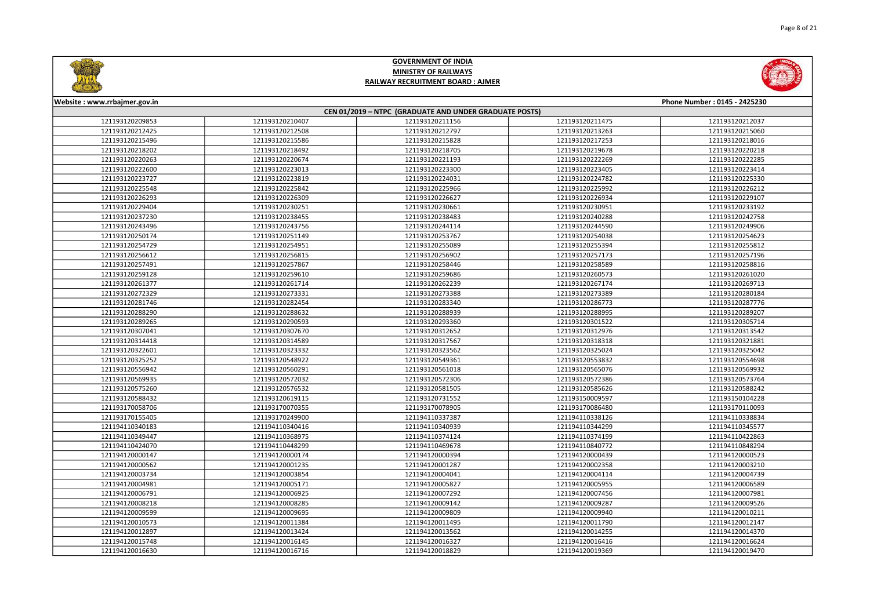



| Website: www.rrbajmer.gov.in |                                                        |                 |                 | Phone Number: 0145 - 2425230 |  |  |
|------------------------------|--------------------------------------------------------|-----------------|-----------------|------------------------------|--|--|
|                              | CEN 01/2019 - NTPC (GRADUATE AND UNDER GRADUATE POSTS) |                 |                 |                              |  |  |
| 121193120209853              | 121193120210407                                        | 121193120211156 | 121193120211475 | 121193120212037              |  |  |
| 121193120212425              | 121193120212508                                        | 121193120212797 | 121193120213263 | 121193120215060              |  |  |
| 121193120215496              | 121193120215586                                        | 121193120215828 | 121193120217253 | 121193120218016              |  |  |
| 121193120218202              | 121193120218492                                        | 121193120218705 | 121193120219678 | 121193120220218              |  |  |
| 121193120220263              | 121193120220674                                        | 121193120221193 | 121193120222269 | 121193120222285              |  |  |
| 121193120222600              | 121193120223013                                        | 121193120223300 | 121193120223405 | 121193120223414              |  |  |
| 121193120223727              | 121193120223819                                        | 121193120224031 | 121193120224782 | 121193120225330              |  |  |
| 121193120225548              | 121193120225842                                        | 121193120225966 | 121193120225992 | 121193120226212              |  |  |
| 121193120226293              | 121193120226309                                        | 121193120226627 | 121193120226934 | 121193120229107              |  |  |
| 121193120229404              | 121193120230251                                        | 121193120230661 | 121193120230951 | 121193120233192              |  |  |
| 121193120237230              | 121193120238455                                        | 121193120238483 | 121193120240288 | 121193120242758              |  |  |
| 121193120243496              | 121193120243756                                        | 121193120244114 | 121193120244590 | 121193120249906              |  |  |
| 121193120250174              | 121193120251149                                        | 121193120253767 | 121193120254038 | 121193120254623              |  |  |
| 121193120254729              | 121193120254951                                        | 121193120255089 | 121193120255394 | 121193120255812              |  |  |
| 121193120256612              | 121193120256815                                        | 121193120256902 | 121193120257173 | 121193120257196              |  |  |
| 121193120257491              | 121193120257867                                        | 121193120258446 | 121193120258589 | 121193120258816              |  |  |
| 121193120259128              | 121193120259610                                        | 121193120259686 | 121193120260573 | 121193120261020              |  |  |
| 121193120261377              | 121193120261714                                        | 121193120262239 | 121193120267174 | 121193120269713              |  |  |
| 121193120272329              | 121193120273331                                        | 121193120273388 | 121193120273389 | 121193120280184              |  |  |
| 121193120281746              | 121193120282454                                        | 121193120283340 | 121193120286773 | 121193120287776              |  |  |
| 121193120288290              | 121193120288632                                        | 121193120288939 | 121193120288995 | 121193120289207              |  |  |
| 121193120289265              | 121193120290593                                        | 121193120293360 | 121193120301522 | 121193120305714              |  |  |
| 121193120307041              | 121193120307670                                        | 121193120312652 | 121193120312976 | 121193120313542              |  |  |
| 121193120314418              | 121193120314589                                        | 121193120317567 | 121193120318318 | 121193120321881              |  |  |
| 121193120322601              | 121193120323332                                        | 121193120323562 | 121193120325024 | 121193120325042              |  |  |
| 121193120325252              | 121193120548922                                        | 121193120549361 | 121193120553832 | 121193120554698              |  |  |
| 121193120556942              | 121193120560291                                        | 121193120561018 | 121193120565076 | 121193120569932              |  |  |
| 121193120569935              | 121193120572032                                        | 121193120572306 | 121193120572386 | 121193120573764              |  |  |
| 121193120575260              | 121193120576532                                        | 121193120581505 | 121193120585626 | 121193120588242              |  |  |
| 121193120588432              | 121193120619115                                        | 121193120731552 | 121193150009597 | 121193150104228              |  |  |
| 121193170058706              | 121193170070355                                        | 121193170078905 | 121193170086480 | 121193170110093              |  |  |
| 121193170155405              | 121193170249900                                        | 121194110337387 | 121194110338126 | 121194110338834              |  |  |
| 121194110340183              | 121194110340416                                        | 121194110340939 | 121194110344299 | 121194110345577              |  |  |
| 121194110349447              | 121194110368975                                        | 121194110374124 | 121194110374199 | 121194110422863              |  |  |
| 121194110424070              | 121194110448299                                        | 121194110469678 | 121194110840772 | 121194110848294              |  |  |
| 121194120000147              | 121194120000174                                        | 121194120000394 | 121194120000439 | 121194120000523              |  |  |
| 121194120000562              | 121194120001235                                        | 121194120001287 | 121194120002358 | 121194120003210              |  |  |
| 121194120003734              | 121194120003854                                        | 121194120004041 | 121194120004114 | 121194120004739              |  |  |
| 121194120004981              | 121194120005171                                        | 121194120005827 | 121194120005955 | 121194120006589              |  |  |
| 121194120006791              | 121194120006925                                        | 121194120007292 | 121194120007456 | 121194120007981              |  |  |
| 121194120008218              | 121194120008285                                        | 121194120009142 | 121194120009287 | 121194120009526              |  |  |
| 121194120009599              | 121194120009695                                        | 121194120009809 | 121194120009940 | 121194120010211              |  |  |
| 121194120010573              | 121194120011384                                        | 121194120011495 | 121194120011790 | 121194120012147              |  |  |
| 121194120012897              | 121194120013424                                        | 121194120013562 | 121194120014255 | 121194120014370              |  |  |
| 121194120015748              | 121194120016145                                        | 121194120016327 | 121194120016416 | 121194120016624              |  |  |
| 121194120016630              | 121194120016716                                        | 121194120018829 | 121194120019369 | 121194120019470              |  |  |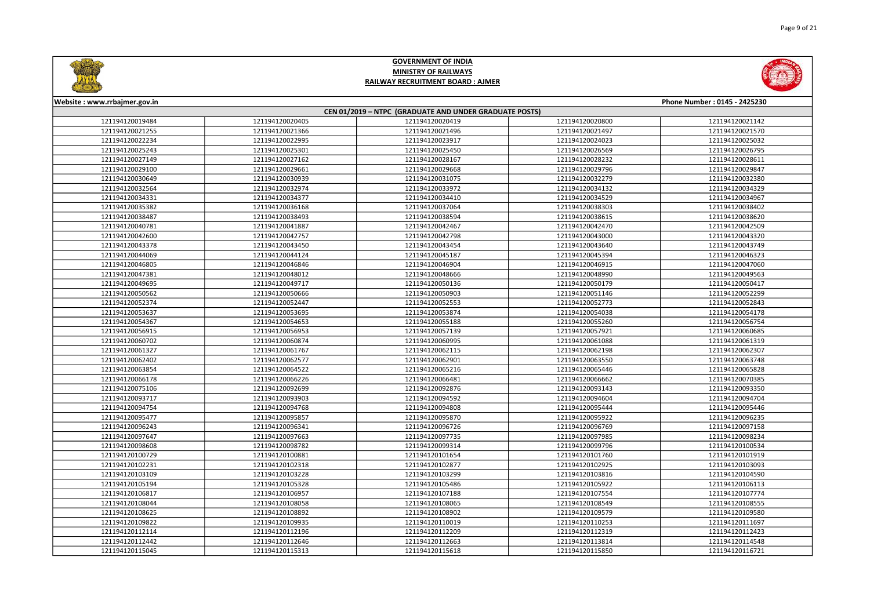



| Website: www.rrbajmer.gov.in |                                                        |                 |                 | Phone Number: 0145 - 2425230 |  |  |
|------------------------------|--------------------------------------------------------|-----------------|-----------------|------------------------------|--|--|
|                              | CEN 01/2019 - NTPC (GRADUATE AND UNDER GRADUATE POSTS) |                 |                 |                              |  |  |
| 121194120019484              | 121194120020405                                        | 121194120020419 | 121194120020800 | 121194120021142              |  |  |
| 121194120021255              | 121194120021366                                        | 121194120021496 | 121194120021497 | 121194120021570              |  |  |
| 121194120022234              | 121194120022995                                        | 121194120023917 | 121194120024023 | 121194120025032              |  |  |
| 121194120025243              | 121194120025301                                        | 121194120025450 | 121194120026569 | 121194120026795              |  |  |
| 121194120027149              | 121194120027162                                        | 121194120028167 | 121194120028232 | 121194120028611              |  |  |
| 121194120029100              | 121194120029661                                        | 121194120029668 | 121194120029796 | 121194120029847              |  |  |
| 121194120030649              | 121194120030939                                        | 121194120031075 | 121194120032279 | 121194120032380              |  |  |
| 121194120032564              | 121194120032974                                        | 121194120033972 | 121194120034132 | 121194120034329              |  |  |
| 121194120034331              | 121194120034377                                        | 121194120034410 | 121194120034529 | 121194120034967              |  |  |
| 121194120035382              | 121194120036168                                        | 121194120037064 | 121194120038303 | 121194120038402              |  |  |
| 121194120038487              | 121194120038493                                        | 121194120038594 | 121194120038615 | 121194120038620              |  |  |
| 121194120040781              | 121194120041887                                        | 121194120042467 | 121194120042470 | 121194120042509              |  |  |
| 121194120042600              | 121194120042757                                        | 121194120042798 | 121194120043000 | 121194120043320              |  |  |
| 121194120043378              | 121194120043450                                        | 121194120043454 | 121194120043640 | 121194120043749              |  |  |
| 121194120044069              | 121194120044124                                        | 121194120045187 | 121194120045394 | 121194120046323              |  |  |
| 121194120046805              | 121194120046846                                        | 121194120046904 | 121194120046915 | 121194120047060              |  |  |
| 121194120047381              | 121194120048012                                        | 121194120048666 | 121194120048990 | 121194120049563              |  |  |
| 121194120049695              | 121194120049717                                        | 121194120050136 | 121194120050179 | 121194120050417              |  |  |
| 121194120050562              | 121194120050666                                        | 121194120050903 | 121194120051146 | 121194120052299              |  |  |
| 121194120052374              | 121194120052447                                        | 121194120052553 | 121194120052773 | 121194120052843              |  |  |
| 121194120053637              | 121194120053695                                        | 121194120053874 | 121194120054038 | 121194120054178              |  |  |
| 121194120054367              | 121194120054653                                        | 121194120055188 | 121194120055260 | 121194120056754              |  |  |
| 121194120056915              | 121194120056953                                        | 121194120057139 | 121194120057921 | 121194120060685              |  |  |
| 121194120060702              | 121194120060874                                        | 121194120060995 | 121194120061088 | 121194120061319              |  |  |
| 121194120061327              | 121194120061767                                        | 121194120062115 | 121194120062198 | 121194120062307              |  |  |
| 121194120062402              | 121194120062577                                        | 121194120062901 | 121194120063550 | 121194120063748              |  |  |
| 121194120063854              | 121194120064522                                        | 121194120065216 | 121194120065446 | 121194120065828              |  |  |
| 121194120066178              | 121194120066226                                        | 121194120066481 | 121194120066662 | 121194120070385              |  |  |
| 121194120075106              | 121194120092699                                        | 121194120092876 | 121194120093143 | 121194120093350              |  |  |
| 121194120093717              | 121194120093903                                        | 121194120094592 | 121194120094604 | 121194120094704              |  |  |
| 121194120094754              | 121194120094768                                        | 121194120094808 | 121194120095444 | 121194120095446              |  |  |
| 121194120095477              | 121194120095857                                        | 121194120095870 | 121194120095922 | 121194120096235              |  |  |
| 121194120096243              | 121194120096341                                        | 121194120096726 | 121194120096769 | 121194120097158              |  |  |
| 121194120097647              | 121194120097663                                        | 121194120097735 | 121194120097985 | 121194120098234              |  |  |
| 121194120098608              | 121194120098782                                        | 121194120099314 | 121194120099796 | 121194120100534              |  |  |
| 121194120100729              | 121194120100881                                        | 121194120101654 | 121194120101760 | 121194120101919              |  |  |
| 121194120102231              | 121194120102318                                        | 121194120102877 | 121194120102925 | 121194120103093              |  |  |
| 121194120103109              | 121194120103228                                        | 121194120103299 | 121194120103816 | 121194120104590              |  |  |
| 121194120105194              | 121194120105328                                        | 121194120105486 | 121194120105922 | 121194120106113              |  |  |
| 121194120106817              | 121194120106957                                        | 121194120107188 | 121194120107554 | 121194120107774              |  |  |
| 121194120108044              | 121194120108058                                        | 121194120108065 | 121194120108549 | 121194120108555              |  |  |
| 121194120108625              | 121194120108892                                        | 121194120108902 | 121194120109579 | 121194120109580              |  |  |
| 121194120109822              | 121194120109935                                        | 121194120110019 | 121194120110253 | 121194120111697              |  |  |
| 121194120112114              | 121194120112196                                        | 121194120112209 | 121194120112319 | 121194120112423              |  |  |
| 121194120112442              | 121194120112646                                        | 121194120112663 | 121194120113814 | 121194120114548              |  |  |
| 121194120115045              | 121194120115313                                        | 121194120115618 | 121194120115850 | 121194120116721              |  |  |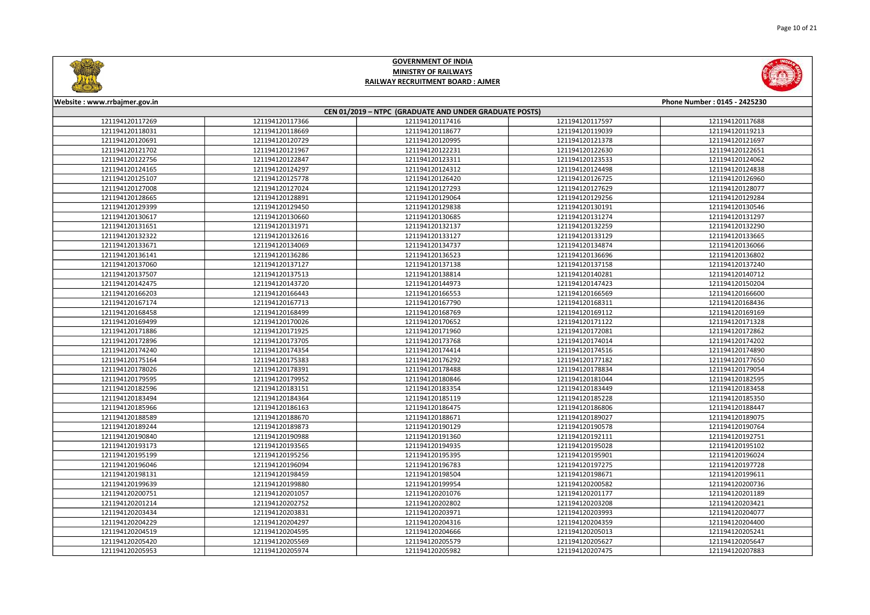



| Website: www.rrbajmer.gov.in |                 |                                                        |                 | Phone Number: 0145 - 2425230 |
|------------------------------|-----------------|--------------------------------------------------------|-----------------|------------------------------|
|                              |                 | CEN 01/2019 - NTPC (GRADUATE AND UNDER GRADUATE POSTS) |                 |                              |
| 121194120117269              | 121194120117366 | 121194120117416                                        | 121194120117597 | 121194120117688              |
| 121194120118031              | 121194120118669 | 121194120118677                                        | 121194120119039 | 121194120119213              |
| 121194120120691              | 121194120120729 | 121194120120995                                        | 121194120121378 | 121194120121697              |
| 121194120121702              | 121194120121967 | 121194120122231                                        | 121194120122630 | 121194120122651              |
| 121194120122756              | 121194120122847 | 121194120123311                                        | 121194120123533 | 121194120124062              |
| 121194120124165              | 121194120124297 | 121194120124312                                        | 121194120124498 | 121194120124838              |
| 121194120125107              | 121194120125778 | 121194120126420                                        | 121194120126725 | 121194120126960              |
| 121194120127008              | 121194120127024 | 121194120127293                                        | 121194120127629 | 121194120128077              |
| 121194120128665              | 121194120128891 | 121194120129064                                        | 121194120129256 | 121194120129284              |
| 121194120129399              | 121194120129450 | 121194120129838                                        | 121194120130191 | 121194120130546              |
| 121194120130617              | 121194120130660 | 121194120130685                                        | 121194120131274 | 121194120131297              |
| 121194120131651              | 121194120131971 | 121194120132137                                        | 121194120132259 | 121194120132290              |
| 121194120132322              | 121194120132616 | 121194120133127                                        | 121194120133129 | 121194120133665              |
| 121194120133671              | 121194120134069 | 121194120134737                                        | 121194120134874 | 121194120136066              |
| 121194120136141              | 121194120136286 | 121194120136523                                        | 121194120136696 | 121194120136802              |
| 121194120137060              | 121194120137127 | 121194120137138                                        | 121194120137158 | 121194120137240              |
| 121194120137507              | 121194120137513 | 121194120138814                                        | 121194120140281 | 121194120140712              |
| 121194120142475              | 121194120143720 | 121194120144973                                        | 121194120147423 | 121194120150204              |
| 121194120166203              | 121194120166443 | 121194120166553                                        | 121194120166569 | 121194120166600              |
| 121194120167174              | 121194120167713 | 121194120167790                                        | 121194120168311 | 121194120168436              |
| 121194120168458              | 121194120168499 | 121194120168769                                        | 121194120169112 | 121194120169169              |
| 121194120169499              | 121194120170026 | 121194120170652                                        | 121194120171122 | 121194120171328              |
| 121194120171886              | 121194120171925 | 121194120171960                                        | 121194120172081 | 121194120172862              |
| 121194120172896              | 121194120173705 | 121194120173768                                        | 121194120174014 | 121194120174202              |
| 121194120174240              | 121194120174354 | 121194120174414                                        | 121194120174516 | 121194120174890              |
| 121194120175164              | 121194120175383 | 121194120176292                                        | 121194120177182 | 121194120177650              |
| 121194120178026              | 121194120178391 | 121194120178488                                        | 121194120178834 | 121194120179054              |
| 121194120179595              | 121194120179952 | 121194120180846                                        | 121194120181044 | 121194120182595              |
| 121194120182596              | 121194120183151 | 121194120183354                                        | 121194120183449 | 121194120183458              |
| 121194120183494              | 121194120184364 | 121194120185119                                        | 121194120185228 | 121194120185350              |
| 121194120185966              | 121194120186163 | 121194120186475                                        | 121194120186806 | 121194120188447              |
| 121194120188589              | 121194120188670 | 121194120188671                                        | 121194120189027 | 121194120189075              |
| 121194120189244              | 121194120189873 | 121194120190129                                        | 121194120190578 | 121194120190764              |
| 121194120190840              | 121194120190988 | 121194120191360                                        | 121194120192111 | 121194120192751              |
| 121194120193173              | 121194120193565 | 121194120194935                                        | 121194120195028 | 121194120195102              |
| 121194120195199              | 121194120195256 | 121194120195395                                        | 121194120195901 | 121194120196024              |
| 121194120196046              | 121194120196094 | 121194120196783                                        | 121194120197275 | 121194120197728              |
| 121194120198131              | 121194120198459 | 121194120198504                                        | 121194120198671 | 121194120199611              |
| 121194120199639              | 121194120199880 | 121194120199954                                        | 121194120200582 | 121194120200736              |
| 121194120200751              | 121194120201057 | 121194120201076                                        | 121194120201177 | 121194120201189              |
| 121194120201214              | 121194120202752 | 121194120202802                                        | 121194120203208 | 121194120203421              |
| 121194120203434              | 121194120203831 | 121194120203971                                        | 121194120203993 | 121194120204077              |
| 121194120204229              | 121194120204297 | 121194120204316                                        | 121194120204359 | 121194120204400              |
| 121194120204519              | 121194120204595 | 121194120204666                                        | 121194120205013 | 121194120205241              |
| 121194120205420              | 121194120205569 | 121194120205579                                        | 121194120205627 | 121194120205647              |
| 121194120205953              | 121194120205974 | 121194120205982                                        | 121194120207475 | 121194120207883              |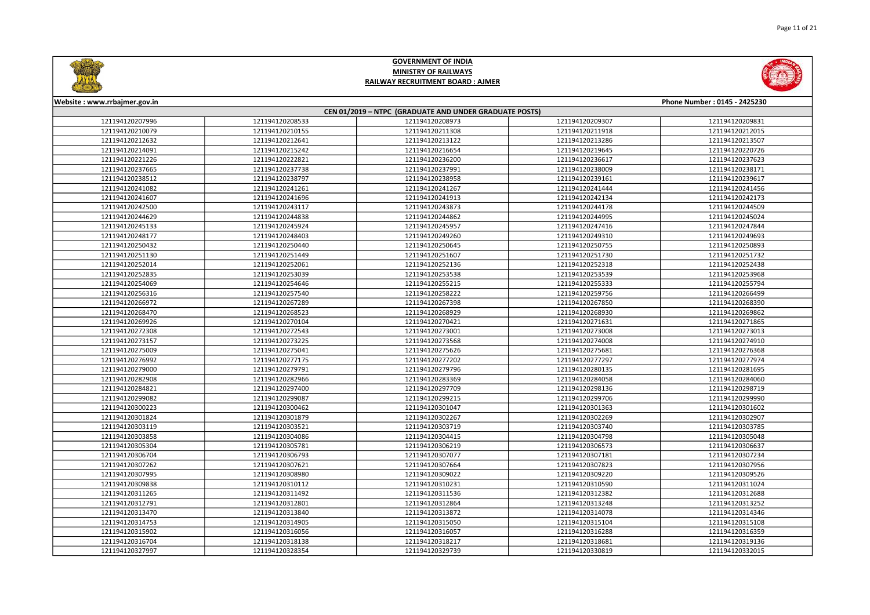



| Website: www.rrbajmer.gov.in                           |                 |                 |                 | Phone Number: 0145 - 2425230 |  |
|--------------------------------------------------------|-----------------|-----------------|-----------------|------------------------------|--|
| CEN 01/2019 - NTPC (GRADUATE AND UNDER GRADUATE POSTS) |                 |                 |                 |                              |  |
| 121194120207996                                        | 121194120208533 | 121194120208973 | 121194120209307 | 121194120209831              |  |
| 121194120210079                                        | 121194120210155 | 121194120211308 | 121194120211918 | 121194120212015              |  |
| 121194120212632                                        | 121194120212641 | 121194120213122 | 121194120213286 | 121194120213507              |  |
| 121194120214091                                        | 121194120215242 | 121194120216654 | 121194120219645 | 121194120220726              |  |
| 121194120221226                                        | 121194120222821 | 121194120236200 | 121194120236617 | 121194120237623              |  |
| 121194120237665                                        | 121194120237738 | 121194120237991 | 121194120238009 | 121194120238171              |  |
| 121194120238512                                        | 121194120238797 | 121194120238958 | 121194120239161 | 121194120239617              |  |
| 121194120241082                                        | 121194120241261 | 121194120241267 | 121194120241444 | 121194120241456              |  |
| 121194120241607                                        | 121194120241696 | 121194120241913 | 121194120242134 | 121194120242173              |  |
| 121194120242500                                        | 121194120243117 | 121194120243873 | 121194120244178 | 121194120244509              |  |
| 121194120244629                                        | 121194120244838 | 121194120244862 | 121194120244995 | 121194120245024              |  |
| 121194120245133                                        | 121194120245924 | 121194120245957 | 121194120247416 | 121194120247844              |  |
| 121194120248177                                        | 121194120248403 | 121194120249260 | 121194120249310 | 121194120249693              |  |
| 121194120250432                                        | 121194120250440 | 121194120250645 | 121194120250755 | 121194120250893              |  |
| 121194120251130                                        | 121194120251449 | 121194120251607 | 121194120251730 | 121194120251732              |  |
| 121194120252014                                        | 121194120252061 | 121194120252136 | 121194120252318 | 121194120252438              |  |
| 121194120252835                                        | 121194120253039 | 121194120253538 | 121194120253539 | 121194120253968              |  |
| 121194120254069                                        | 121194120254646 | 121194120255215 | 121194120255333 | 121194120255794              |  |
| 121194120256316                                        | 121194120257540 | 121194120258222 | 121194120259756 | 121194120266499              |  |
| 121194120266972                                        | 121194120267289 | 121194120267398 | 121194120267850 | 121194120268390              |  |
| 121194120268470                                        | 121194120268523 | 121194120268929 | 121194120268930 | 121194120269862              |  |
| 121194120269926                                        | 121194120270104 | 121194120270421 | 121194120271631 | 121194120271865              |  |
| 121194120272308                                        | 121194120272543 | 121194120273001 | 121194120273008 | 121194120273013              |  |
| 121194120273157                                        | 121194120273225 | 121194120273568 | 121194120274008 | 121194120274910              |  |
| 121194120275009                                        | 121194120275041 | 121194120275626 | 121194120275681 | 121194120276368              |  |
| 121194120276992                                        | 121194120277175 | 121194120277202 | 121194120277297 | 121194120277974              |  |
| 121194120279000                                        | 121194120279791 | 121194120279796 | 121194120280135 | 121194120281695              |  |
| 121194120282908                                        | 121194120282966 | 121194120283369 | 121194120284058 | 121194120284060              |  |
| 121194120284821                                        | 121194120297400 | 121194120297709 | 121194120298136 | 121194120298719              |  |
| 121194120299082                                        | 121194120299087 | 121194120299215 | 121194120299706 | 121194120299990              |  |
| 121194120300223                                        | 121194120300462 | 121194120301047 | 121194120301363 | 121194120301602              |  |
| 121194120301824                                        | 121194120301879 | 121194120302267 | 121194120302269 | 121194120302907              |  |
| 121194120303119                                        | 121194120303521 | 121194120303719 | 121194120303740 | 121194120303785              |  |
| 121194120303858                                        | 121194120304086 | 121194120304415 | 121194120304798 | 121194120305048              |  |
| 121194120305304                                        | 121194120305781 | 121194120306219 | 121194120306573 | 121194120306637              |  |
| 121194120306704                                        | 121194120306793 | 121194120307077 | 121194120307181 | 121194120307234              |  |
| 121194120307262                                        | 121194120307621 | 121194120307664 | 121194120307823 | 121194120307956              |  |
| 121194120307995                                        | 121194120308980 | 121194120309022 | 121194120309220 | 121194120309526              |  |
| 121194120309838                                        | 121194120310112 | 121194120310231 | 121194120310590 | 121194120311024              |  |
| 121194120311265                                        | 121194120311492 | 121194120311536 | 121194120312382 | 121194120312688              |  |
| 121194120312791                                        | 121194120312801 | 121194120312864 | 121194120313248 | 121194120313252              |  |
| 121194120313470                                        | 121194120313840 | 121194120313872 | 121194120314078 | 121194120314346              |  |
| 121194120314753                                        | 121194120314905 | 121194120315050 | 121194120315104 | 121194120315108              |  |
| 121194120315902                                        | 121194120316056 | 121194120316057 | 121194120316288 | 121194120316359              |  |
| 121194120316704                                        | 121194120318138 | 121194120318217 | 121194120318681 | 121194120319136              |  |
| 121194120327997                                        | 121194120328354 | 121194120329739 | 121194120330819 | 121194120332015              |  |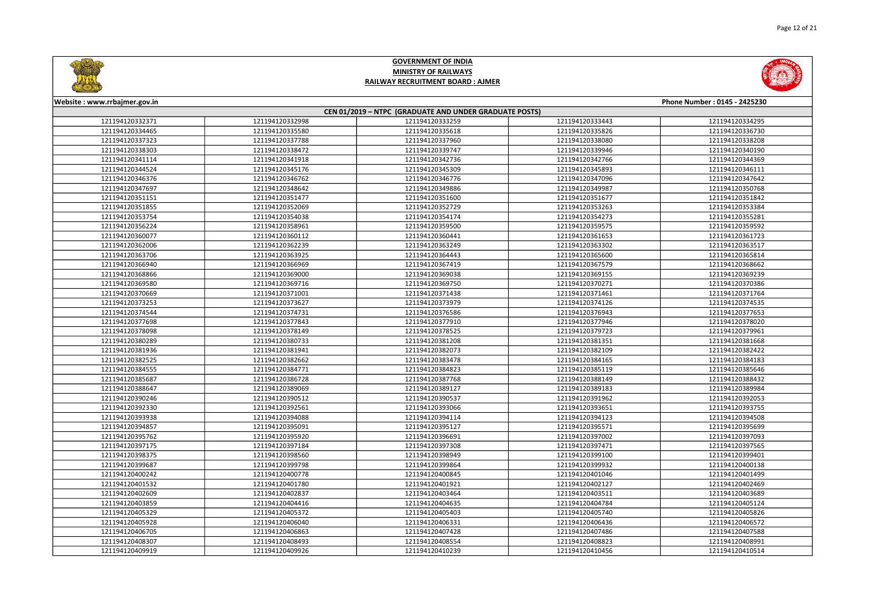



| Website: www.rrbajmer.gov.in |                 |                                                        |                 | Phone Number: 0145 - 2425230 |
|------------------------------|-----------------|--------------------------------------------------------|-----------------|------------------------------|
|                              |                 | CEN 01/2019 - NTPC (GRADUATE AND UNDER GRADUATE POSTS) |                 |                              |
| 121194120332371              | 121194120332998 | 121194120333259                                        | 121194120333443 | 121194120334295              |
| 121194120334465              | 121194120335580 | 121194120335618                                        | 121194120335826 | 121194120336730              |
| 121194120337323              | 121194120337788 | 121194120337960                                        | 121194120338080 | 121194120338208              |
| 121194120338303              | 121194120338472 | 121194120339747                                        | 121194120339946 | 121194120340190              |
| 121194120341114              | 121194120341918 | 121194120342736                                        | 121194120342766 | 121194120344369              |
| 121194120344524              | 121194120345176 | 121194120345309                                        | 121194120345893 | 121194120346111              |
| 121194120346376              | 121194120346762 | 121194120346776                                        | 121194120347096 | 121194120347642              |
| 121194120347697              | 121194120348642 | 121194120349886                                        | 121194120349987 | 121194120350768              |
| 121194120351151              | 121194120351477 | 121194120351600                                        | 121194120351677 | 121194120351842              |
| 121194120351855              | 121194120352069 | 121194120352729                                        | 121194120353263 | 121194120353384              |
| 121194120353754              | 121194120354038 | 121194120354174                                        | 121194120354273 | 121194120355281              |
| 121194120356224              | 121194120358961 | 121194120359500                                        | 121194120359575 | 121194120359592              |
| 121194120360077              | 121194120360112 | 121194120360441                                        | 121194120361653 | 121194120361723              |
| 121194120362006              | 121194120362239 | 121194120363249                                        | 121194120363302 | 121194120363517              |
| 121194120363706              | 121194120363925 | 121194120364443                                        | 121194120365600 | 121194120365814              |
| 121194120366940              | 121194120366969 | 121194120367419                                        | 121194120367579 | 121194120368662              |
| 121194120368866              | 121194120369000 | 121194120369038                                        | 121194120369155 | 121194120369239              |
| 121194120369580              | 121194120369716 | 121194120369750                                        | 121194120370271 | 121194120370386              |
| 121194120370669              | 121194120371001 | 121194120371438                                        | 121194120371461 | 121194120371764              |
| 121194120373253              | 121194120373627 | 121194120373979                                        | 121194120374126 | 121194120374535              |
| 121194120374544              | 121194120374731 | 121194120376586                                        | 121194120376943 | 121194120377653              |
| 121194120377698              | 121194120377843 | 121194120377910                                        | 121194120377946 | 121194120378020              |
| 121194120378098              | 121194120378149 | 121194120378525                                        | 121194120379723 | 121194120379961              |
| 121194120380289              | 121194120380733 | 121194120381208                                        | 121194120381351 | 121194120381668              |
| 121194120381936              | 121194120381941 | 121194120382073                                        | 121194120382109 | 121194120382422              |
| 121194120382525              | 121194120382662 | 121194120383478                                        | 121194120384165 | 121194120384183              |
| 121194120384555              | 121194120384771 | 121194120384823                                        | 121194120385119 | 121194120385646              |
| 121194120385687              | 121194120386728 | 121194120387768                                        | 121194120388149 | 121194120388432              |
| 121194120388647              | 121194120389069 | 121194120389127                                        | 121194120389183 | 121194120389984              |
| 121194120390246              | 121194120390512 | 121194120390537                                        | 121194120391962 | 121194120392053              |
| 121194120392330              | 121194120392561 | 121194120393066                                        | 121194120393651 | 121194120393755              |
| 121194120393938              | 121194120394088 | 121194120394114                                        | 121194120394123 | 121194120394508              |
| 121194120394857              | 121194120395091 | 121194120395127                                        | 121194120395571 | 121194120395699              |
| 121194120395762              | 121194120395920 | 121194120396691                                        | 121194120397002 | 121194120397093              |
| 121194120397175              | 121194120397184 | 121194120397308                                        | 121194120397471 | 121194120397565              |
| 121194120398375              | 121194120398560 | 121194120398949                                        | 121194120399100 | 121194120399401              |
| 121194120399687              | 121194120399798 | 121194120399864                                        | 121194120399932 | 121194120400138              |
| 121194120400242              | 121194120400778 | 121194120400845                                        | 121194120401046 | 121194120401499              |
| 121194120401532              | 121194120401780 | 121194120401921                                        | 121194120402127 | 121194120402469              |
| 121194120402609              | 121194120402837 | 121194120403464                                        | 121194120403511 | 121194120403689              |
| 121194120403859              | 121194120404416 | 121194120404635                                        | 121194120404784 | 121194120405124              |
| 121194120405329              | 121194120405372 | 121194120405403                                        | 121194120405740 | 121194120405826              |
| 121194120405928              | 121194120406040 | 121194120406331                                        | 121194120406436 | 121194120406572              |
| 121194120406705              | 121194120406863 | 121194120407428                                        | 121194120407486 | 121194120407588              |
| 121194120408307              | 121194120408493 | 121194120408554                                        | 121194120408823 | 121194120408991              |
| 121194120409919              | 121194120409926 | 121194120410239                                        | 121194120410456 | 121194120410514              |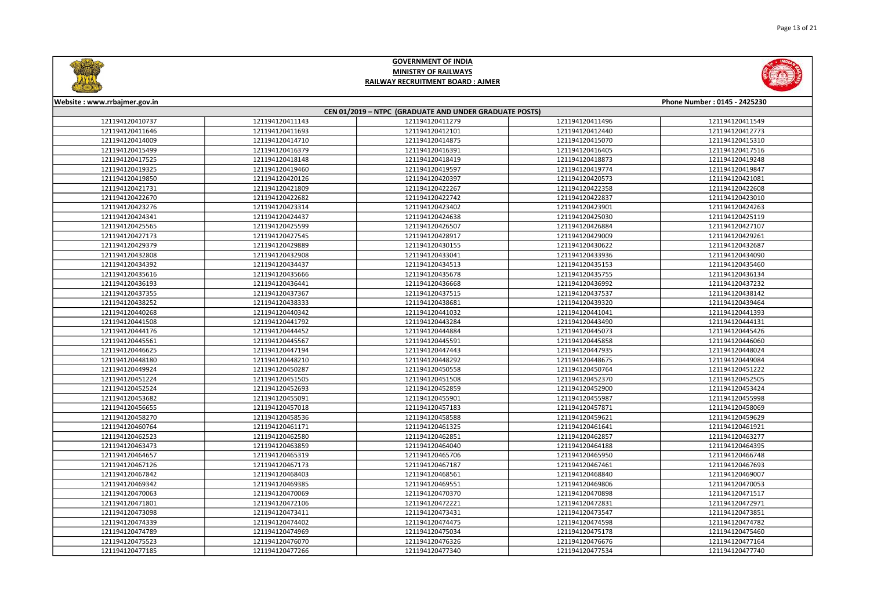



| Website: www.rrbajmer.gov.in                           |                 |                 |                 | Phone Number: 0145 - 2425230 |  |
|--------------------------------------------------------|-----------------|-----------------|-----------------|------------------------------|--|
| CEN 01/2019 - NTPC (GRADUATE AND UNDER GRADUATE POSTS) |                 |                 |                 |                              |  |
| 121194120410737                                        | 121194120411143 | 121194120411279 | 121194120411496 | 121194120411549              |  |
| 121194120411646                                        | 121194120411693 | 121194120412101 | 121194120412440 | 121194120412773              |  |
| 121194120414009                                        | 121194120414710 | 121194120414875 | 121194120415070 | 121194120415310              |  |
| 121194120415499                                        | 121194120416379 | 121194120416391 | 121194120416405 | 121194120417516              |  |
| 121194120417525                                        | 121194120418148 | 121194120418419 | 121194120418873 | 121194120419248              |  |
| 121194120419325                                        | 121194120419460 | 121194120419597 | 121194120419774 | 121194120419847              |  |
| 121194120419850                                        | 121194120420126 | 121194120420397 | 121194120420573 | 121194120421081              |  |
| 121194120421731                                        | 121194120421809 | 121194120422267 | 121194120422358 | 121194120422608              |  |
| 121194120422670                                        | 121194120422682 | 121194120422742 | 121194120422837 | 121194120423010              |  |
| 121194120423276                                        | 121194120423314 | 121194120423402 | 121194120423901 | 121194120424263              |  |
| 121194120424341                                        | 121194120424437 | 121194120424638 | 121194120425030 | 121194120425119              |  |
| 121194120425565                                        | 121194120425599 | 121194120426507 | 121194120426884 | 121194120427107              |  |
| 121194120427173                                        | 121194120427545 | 121194120428917 | 121194120429009 | 121194120429261              |  |
| 121194120429379                                        | 121194120429889 | 121194120430155 | 121194120430622 | 121194120432687              |  |
| 121194120432808                                        | 121194120432908 | 121194120433041 | 121194120433936 | 121194120434090              |  |
| 121194120434392                                        | 121194120434437 | 121194120434513 | 121194120435153 | 121194120435460              |  |
| 121194120435616                                        | 121194120435666 | 121194120435678 | 121194120435755 | 121194120436134              |  |
| 121194120436193                                        | 121194120436441 | 121194120436668 | 121194120436992 | 121194120437232              |  |
| 121194120437355                                        | 121194120437367 | 121194120437515 | 121194120437537 | 121194120438142              |  |
| 121194120438252                                        | 121194120438333 | 121194120438681 | 121194120439320 | 121194120439464              |  |
| 121194120440268                                        | 121194120440342 | 121194120441032 | 121194120441041 | 121194120441393              |  |
| 121194120441508                                        | 121194120441792 | 121194120443284 | 121194120443490 | 121194120444131              |  |
| 121194120444176                                        | 121194120444452 | 121194120444884 | 121194120445073 | 121194120445426              |  |
| 121194120445561                                        | 121194120445567 | 121194120445591 | 121194120445858 | 121194120446060              |  |
| 121194120446625                                        | 121194120447194 | 121194120447443 | 121194120447935 | 121194120448024              |  |
| 121194120448180                                        | 121194120448210 | 121194120448292 | 121194120448675 | 121194120449084              |  |
| 121194120449924                                        | 121194120450287 | 121194120450558 | 121194120450764 | 121194120451222              |  |
| 121194120451224                                        | 121194120451505 | 121194120451508 | 121194120452370 | 121194120452505              |  |
| 121194120452524                                        | 121194120452693 | 121194120452859 | 121194120452900 | 121194120453424              |  |
| 121194120453682                                        | 121194120455091 | 121194120455901 | 121194120455987 | 121194120455998              |  |
| 121194120456655                                        | 121194120457018 | 121194120457183 | 121194120457871 | 121194120458069              |  |
| 121194120458270                                        | 121194120458536 | 121194120458588 | 121194120459621 | 121194120459629              |  |
| 121194120460764                                        | 121194120461171 | 121194120461325 | 121194120461641 | 121194120461921              |  |
| 121194120462523                                        | 121194120462580 | 121194120462851 | 121194120462857 | 121194120463277              |  |
| 121194120463473                                        | 121194120463859 | 121194120464040 | 121194120464188 | 121194120464395              |  |
| 121194120464657                                        | 121194120465319 | 121194120465706 | 121194120465950 | 121194120466748              |  |
| 121194120467126                                        | 121194120467173 | 121194120467187 | 121194120467461 | 121194120467693              |  |
| 121194120467842                                        | 121194120468403 | 121194120468561 | 121194120468840 | 121194120469007              |  |
| 121194120469342                                        | 121194120469385 | 121194120469551 | 121194120469806 | 121194120470053              |  |
| 121194120470063                                        | 121194120470069 | 121194120470370 | 121194120470898 | 121194120471517              |  |
| 121194120471801                                        | 121194120472106 | 121194120472221 | 121194120472831 | 121194120472971              |  |
| 121194120473098                                        | 121194120473411 | 121194120473431 | 121194120473547 | 121194120473851              |  |
| 121194120474339                                        | 121194120474402 | 121194120474475 | 121194120474598 | 121194120474782              |  |
| 121194120474789                                        | 121194120474969 | 121194120475034 | 121194120475178 | 121194120475460              |  |
| 121194120475523                                        | 121194120476070 | 121194120476326 | 121194120476676 | 121194120477164              |  |
| 121194120477185                                        | 121194120477266 | 121194120477340 | 121194120477534 | 121194120477740              |  |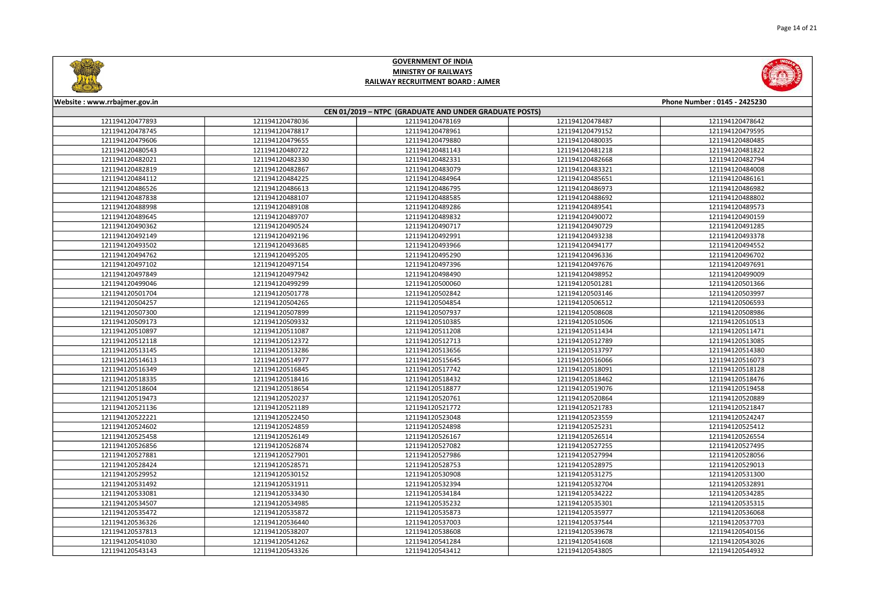



| Website: www.rrbajmer.gov.in                           |                 |                 |                 | Phone Number: 0145 - 2425230 |  |
|--------------------------------------------------------|-----------------|-----------------|-----------------|------------------------------|--|
| CEN 01/2019 - NTPC (GRADUATE AND UNDER GRADUATE POSTS) |                 |                 |                 |                              |  |
| 121194120477893                                        | 121194120478036 | 121194120478169 | 121194120478487 | 121194120478642              |  |
| 121194120478745                                        | 121194120478817 | 121194120478961 | 121194120479152 | 121194120479595              |  |
| 121194120479606                                        | 121194120479655 | 121194120479880 | 121194120480035 | 121194120480485              |  |
| 121194120480543                                        | 121194120480722 | 121194120481143 | 121194120481218 | 121194120481822              |  |
| 121194120482021                                        | 121194120482330 | 121194120482331 | 121194120482668 | 121194120482794              |  |
| 121194120482819                                        | 121194120482867 | 121194120483079 | 121194120483321 | 121194120484008              |  |
| 121194120484112                                        | 121194120484225 | 121194120484964 | 121194120485651 | 121194120486161              |  |
| 121194120486526                                        | 121194120486613 | 121194120486795 | 121194120486973 | 121194120486982              |  |
| 121194120487838                                        | 121194120488107 | 121194120488585 | 121194120488692 | 121194120488802              |  |
| 121194120488998                                        | 121194120489108 | 121194120489286 | 121194120489541 | 121194120489573              |  |
| 121194120489645                                        | 121194120489707 | 121194120489832 | 121194120490072 | 121194120490159              |  |
| 121194120490362                                        | 121194120490524 | 121194120490717 | 121194120490729 | 121194120491285              |  |
| 121194120492149                                        | 121194120492196 | 121194120492991 | 121194120493238 | 121194120493378              |  |
| 121194120493502                                        | 121194120493685 | 121194120493966 | 121194120494177 | 121194120494552              |  |
| 121194120494762                                        | 121194120495205 | 121194120495290 | 121194120496336 | 121194120496702              |  |
| 121194120497102                                        | 121194120497154 | 121194120497396 | 121194120497676 | 121194120497691              |  |
| 121194120497849                                        | 121194120497942 | 121194120498490 | 121194120498952 | 121194120499009              |  |
| 121194120499046                                        | 121194120499299 | 121194120500060 | 121194120501281 | 121194120501366              |  |
| 121194120501704                                        | 121194120501778 | 121194120502842 | 121194120503146 | 121194120503997              |  |
| 121194120504257                                        | 121194120504265 | 121194120504854 | 121194120506512 | 121194120506593              |  |
| 121194120507300                                        | 121194120507899 | 121194120507937 | 121194120508608 | 121194120508986              |  |
| 121194120509173                                        | 121194120509332 | 121194120510385 | 121194120510506 | 121194120510513              |  |
| 121194120510897                                        | 121194120511087 | 121194120511208 | 121194120511434 | 121194120511471              |  |
| 121194120512118                                        | 121194120512372 | 121194120512713 | 121194120512789 | 121194120513085              |  |
| 121194120513145                                        | 121194120513286 | 121194120513656 | 121194120513797 | 121194120514380              |  |
| 121194120514613                                        | 121194120514977 | 121194120515645 | 121194120516066 | 121194120516073              |  |
| 121194120516349                                        | 121194120516845 | 121194120517742 | 121194120518091 | 121194120518128              |  |
| 121194120518335                                        | 121194120518416 | 121194120518432 | 121194120518462 | 121194120518476              |  |
| 121194120518604                                        | 121194120518654 | 121194120518877 | 121194120519076 | 121194120519458              |  |
| 121194120519473                                        | 121194120520237 | 121194120520761 | 121194120520864 | 121194120520889              |  |
| 121194120521136                                        | 121194120521189 | 121194120521772 | 121194120521783 | 121194120521847              |  |
| 121194120522221                                        | 121194120522450 | 121194120523048 | 121194120523559 | 121194120524247              |  |
| 121194120524602                                        | 121194120524859 | 121194120524898 | 121194120525231 | 121194120525412              |  |
| 121194120525458                                        | 121194120526149 | 121194120526167 | 121194120526514 | 121194120526554              |  |
| 121194120526856                                        | 121194120526874 | 121194120527082 | 121194120527255 | 121194120527495              |  |
| 121194120527881                                        | 121194120527901 | 121194120527986 | 121194120527994 | 121194120528056              |  |
| 121194120528424                                        | 121194120528571 | 121194120528753 | 121194120528975 | 121194120529013              |  |
| 121194120529952                                        | 121194120530152 | 121194120530908 | 121194120531275 | 121194120531300              |  |
| 121194120531492                                        | 121194120531911 | 121194120532394 | 121194120532704 | 121194120532891              |  |
| 121194120533081                                        | 121194120533430 | 121194120534184 | 121194120534222 | 121194120534285              |  |
| 121194120534507                                        | 121194120534985 | 121194120535232 | 121194120535301 | 121194120535315              |  |
| 121194120535472                                        | 121194120535872 | 121194120535873 | 121194120535977 | 121194120536068              |  |
| 121194120536326                                        | 121194120536440 | 121194120537003 | 121194120537544 | 121194120537703              |  |
| 121194120537813                                        | 121194120538207 | 121194120538608 | 121194120539678 | 121194120540156              |  |
| 121194120541030                                        | 121194120541262 | 121194120541284 | 121194120541608 | 121194120543026              |  |
| 121194120543143                                        | 121194120543326 | 121194120543412 | 121194120543805 | 121194120544932              |  |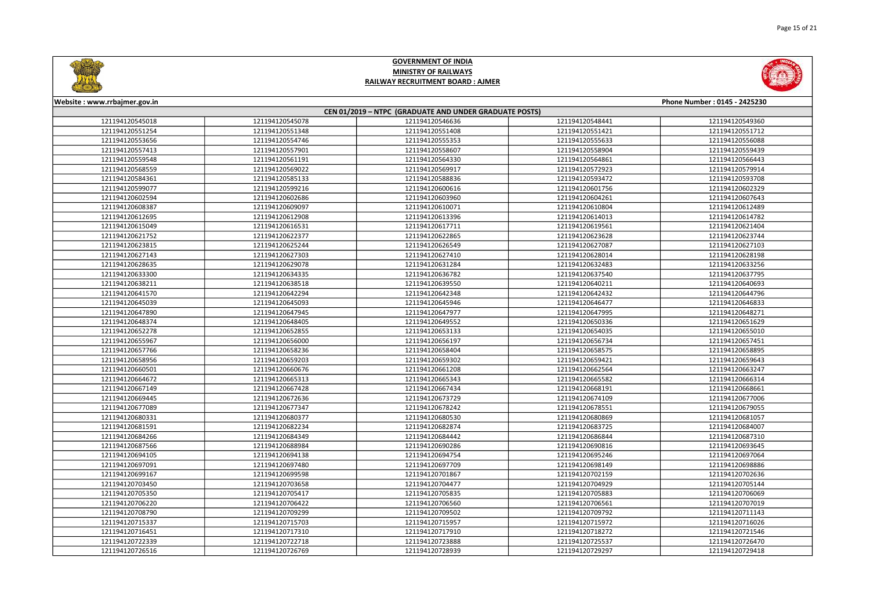



| Website: www.rrbajmer.gov.in<br>Phone Number: 0145 - 2425230 |                 |                 |                 |                 |  |
|--------------------------------------------------------------|-----------------|-----------------|-----------------|-----------------|--|
| CEN 01/2019 - NTPC (GRADUATE AND UNDER GRADUATE POSTS)       |                 |                 |                 |                 |  |
| 121194120545018                                              | 121194120545078 | 121194120546636 | 121194120548441 | 121194120549360 |  |
| 121194120551254                                              | 121194120551348 | 121194120551408 | 121194120551421 | 121194120551712 |  |
| 121194120553656                                              | 121194120554746 | 121194120555353 | 121194120555633 | 121194120556088 |  |
| 121194120557413                                              | 121194120557901 | 121194120558607 | 121194120558904 | 121194120559439 |  |
| 121194120559548                                              | 121194120561191 | 121194120564330 | 121194120564861 | 121194120566443 |  |
| 121194120568559                                              | 121194120569022 | 121194120569917 | 121194120572923 | 121194120579914 |  |
| 121194120584361                                              | 121194120585133 | 121194120588836 | 121194120593472 | 121194120593708 |  |
| 121194120599077                                              | 121194120599216 | 121194120600616 | 121194120601756 | 121194120602329 |  |
| 121194120602594                                              | 121194120602686 | 121194120603960 | 121194120604261 | 121194120607643 |  |
| 121194120608387                                              | 121194120609097 | 121194120610071 | 121194120610804 | 121194120612489 |  |
| 121194120612695                                              | 121194120612908 | 121194120613396 | 121194120614013 | 121194120614782 |  |
| 121194120615049                                              | 121194120616531 | 121194120617711 | 121194120619561 | 121194120621404 |  |
| 121194120621752                                              | 121194120622377 | 121194120622865 | 121194120623628 | 121194120623744 |  |
| 121194120623815                                              | 121194120625244 | 121194120626549 | 121194120627087 | 121194120627103 |  |
| 121194120627143                                              | 121194120627303 | 121194120627410 | 121194120628014 | 121194120628198 |  |
| 121194120628635                                              | 121194120629078 | 121194120631284 | 121194120632483 | 121194120633256 |  |
| 121194120633300                                              | 121194120634335 | 121194120636782 | 121194120637540 | 121194120637795 |  |
| 121194120638211                                              | 121194120638518 | 121194120639550 | 121194120640211 | 121194120640693 |  |
| 121194120641570                                              | 121194120642294 | 121194120642348 | 121194120642432 | 121194120644796 |  |
| 121194120645039                                              | 121194120645093 | 121194120645946 | 121194120646477 | 121194120646833 |  |
| 121194120647890                                              | 121194120647945 | 121194120647977 | 121194120647995 | 121194120648271 |  |
| 121194120648374                                              | 121194120648405 | 121194120649552 | 121194120650336 | 121194120651629 |  |
| 121194120652278                                              | 121194120652855 | 121194120653133 | 121194120654035 | 121194120655010 |  |
| 121194120655967                                              | 121194120656000 | 121194120656197 | 121194120656734 | 121194120657451 |  |
| 121194120657766                                              | 121194120658236 | 121194120658404 | 121194120658575 | 121194120658895 |  |
| 121194120658956                                              | 121194120659203 | 121194120659302 | 121194120659421 | 121194120659643 |  |
| 121194120660501                                              | 121194120660676 | 121194120661208 | 121194120662564 | 121194120663247 |  |
| 121194120664672                                              | 121194120665313 | 121194120665343 | 121194120665582 | 121194120666314 |  |
| 121194120667149                                              | 121194120667428 | 121194120667434 | 121194120668191 | 121194120668661 |  |
| 121194120669445                                              | 121194120672636 | 121194120673729 | 121194120674109 | 121194120677006 |  |
| 121194120677089                                              | 121194120677347 | 121194120678242 | 121194120678551 | 121194120679055 |  |
| 121194120680331                                              | 121194120680377 | 121194120680530 | 121194120680869 | 121194120681057 |  |
| 121194120681591                                              | 121194120682234 | 121194120682874 | 121194120683725 | 121194120684007 |  |
| 121194120684266                                              | 121194120684349 | 121194120684442 | 121194120686844 | 121194120687310 |  |
| 121194120687566                                              | 121194120688984 | 121194120690286 | 121194120690816 | 121194120693645 |  |
| 121194120694105                                              | 121194120694138 | 121194120694754 | 121194120695246 | 121194120697064 |  |
| 121194120697091                                              | 121194120697480 | 121194120697709 | 121194120698149 | 121194120698886 |  |
| 121194120699167                                              | 121194120699598 | 121194120701867 | 121194120702159 | 121194120702636 |  |
| 121194120703450                                              | 121194120703658 | 121194120704477 | 121194120704929 | 121194120705144 |  |
| 121194120705350                                              | 121194120705417 | 121194120705835 | 121194120705883 | 121194120706069 |  |
| 121194120706220                                              | 121194120706422 | 121194120706560 | 121194120706561 | 121194120707019 |  |
| 121194120708790                                              | 121194120709299 | 121194120709502 | 121194120709792 | 121194120711143 |  |
| 121194120715337                                              | 121194120715703 | 121194120715957 | 121194120715972 | 121194120716026 |  |
| 121194120716451                                              | 121194120717310 | 121194120717910 | 121194120718272 | 121194120721546 |  |
| 121194120722339                                              | 121194120722718 | 121194120723888 | 121194120725537 | 121194120726470 |  |
| 121194120726516                                              | 121194120726769 | 121194120728939 | 121194120729297 | 121194120729418 |  |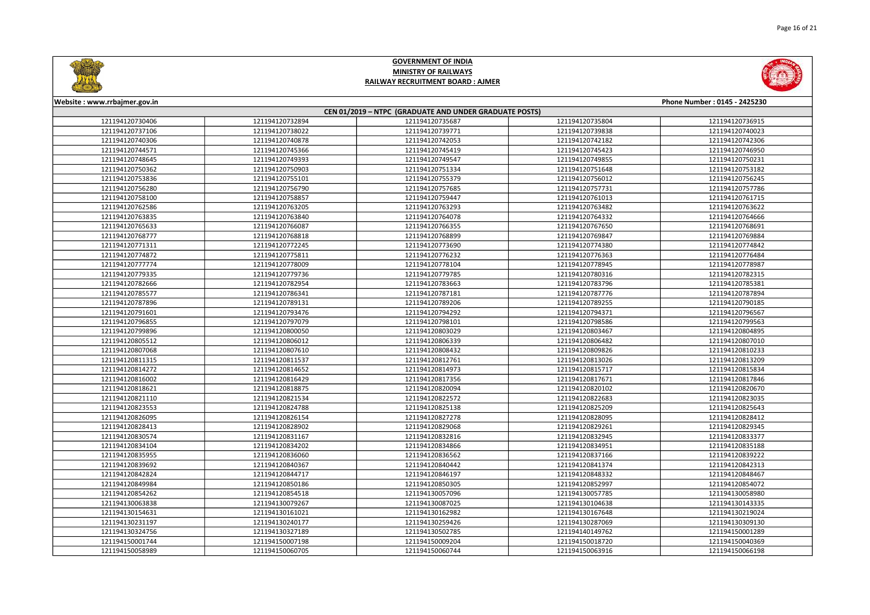



| Website: www.rrbajmer.gov.in                           |                 |                 |                 | Phone Number: 0145 - 2425230 |  |
|--------------------------------------------------------|-----------------|-----------------|-----------------|------------------------------|--|
| CEN 01/2019 - NTPC (GRADUATE AND UNDER GRADUATE POSTS) |                 |                 |                 |                              |  |
| 121194120730406                                        | 121194120732894 | 121194120735687 | 121194120735804 | 121194120736915              |  |
| 121194120737106                                        | 121194120738022 | 121194120739771 | 121194120739838 | 121194120740023              |  |
| 121194120740306                                        | 121194120740878 | 121194120742053 | 121194120742182 | 121194120742306              |  |
| 121194120744571                                        | 121194120745366 | 121194120745419 | 121194120745423 | 121194120746950              |  |
| 121194120748645                                        | 121194120749393 | 121194120749547 | 121194120749855 | 121194120750231              |  |
| 121194120750362                                        | 121194120750903 | 121194120751334 | 121194120751648 | 121194120753182              |  |
| 121194120753836                                        | 121194120755101 | 121194120755379 | 121194120756012 | 121194120756245              |  |
| 121194120756280                                        | 121194120756790 | 121194120757685 | 121194120757731 | 121194120757786              |  |
| 121194120758100                                        | 121194120758857 | 121194120759447 | 121194120761013 | 121194120761715              |  |
| 121194120762586                                        | 121194120763205 | 121194120763293 | 121194120763482 | 121194120763622              |  |
| 121194120763835                                        | 121194120763840 | 121194120764078 | 121194120764332 | 121194120764666              |  |
| 121194120765633                                        | 121194120766087 | 121194120766355 | 121194120767650 | 121194120768691              |  |
| 121194120768777                                        | 121194120768818 | 121194120768899 | 121194120769847 | 121194120769884              |  |
| 121194120771311                                        | 121194120772245 | 121194120773690 | 121194120774380 | 121194120774842              |  |
| 121194120774872                                        | 121194120775811 | 121194120776232 | 121194120776363 | 121194120776484              |  |
| 121194120777774                                        | 121194120778009 | 121194120778104 | 121194120778945 | 121194120778987              |  |
| 121194120779335                                        | 121194120779736 | 121194120779785 | 121194120780316 | 121194120782315              |  |
| 121194120782666                                        | 121194120782954 | 121194120783663 | 121194120783796 | 121194120785381              |  |
| 121194120785577                                        | 121194120786341 | 121194120787181 | 121194120787776 | 121194120787894              |  |
| 121194120787896                                        | 121194120789131 | 121194120789206 | 121194120789255 | 121194120790185              |  |
| 121194120791601                                        | 121194120793476 | 121194120794292 | 121194120794371 | 121194120796567              |  |
| 121194120796855                                        | 121194120797079 | 121194120798101 | 121194120798586 | 121194120799563              |  |
| 121194120799896                                        | 121194120800050 | 121194120803029 | 121194120803467 | 121194120804895              |  |
| 121194120805512                                        | 121194120806012 | 121194120806339 | 121194120806482 | 121194120807010              |  |
| 121194120807068                                        | 121194120807610 | 121194120808432 | 121194120809826 | 121194120810233              |  |
| 121194120811315                                        | 121194120811537 | 121194120812761 | 121194120813026 | 121194120813209              |  |
| 121194120814272                                        | 121194120814652 | 121194120814973 | 121194120815717 | 121194120815834              |  |
| 121194120816002                                        | 121194120816429 | 121194120817356 | 121194120817671 | 121194120817846              |  |
| 121194120818621                                        | 121194120818875 | 121194120820094 | 121194120820102 | 121194120820670              |  |
| 121194120821110                                        | 121194120821534 | 121194120822572 | 121194120822683 | 121194120823035              |  |
| 121194120823553                                        | 121194120824788 | 121194120825138 | 121194120825209 | 121194120825643              |  |
| 121194120826095                                        | 121194120826154 | 121194120827278 | 121194120828095 | 121194120828412              |  |
| 121194120828413                                        | 121194120828902 | 121194120829068 | 121194120829261 | 121194120829345              |  |
| 121194120830574                                        | 121194120831167 | 121194120832816 | 121194120832945 | 121194120833377              |  |
| 121194120834104                                        | 121194120834202 | 121194120834866 | 121194120834951 | 121194120835188              |  |
| 121194120835955                                        | 121194120836060 | 121194120836562 | 121194120837166 | 121194120839222              |  |
| 121194120839692                                        | 121194120840367 | 121194120840442 | 121194120841374 | 121194120842313              |  |
| 121194120842824                                        | 121194120844717 | 121194120846197 | 121194120848332 | 121194120848467              |  |
| 121194120849984                                        | 121194120850186 | 121194120850305 | 121194120852997 | 121194120854072              |  |
| 121194120854262                                        | 121194120854518 | 121194130057096 | 121194130057785 | 121194130058980              |  |
| 121194130063838                                        | 121194130079267 | 121194130087025 | 121194130104638 | 121194130143335              |  |
| 121194130154631                                        | 121194130161021 | 121194130162982 | 121194130167648 | 121194130219024              |  |
| 121194130231197                                        | 121194130240177 | 121194130259426 | 121194130287069 | 121194130309130              |  |
| 121194130324756                                        | 121194130327189 | 121194130502785 | 121194140149762 | 121194150001289              |  |
| 121194150001744                                        | 121194150007198 | 121194150009204 | 121194150018720 | 121194150040369              |  |
| 121194150058989                                        | 121194150060705 | 121194150060744 | 121194150063916 | 121194150066198              |  |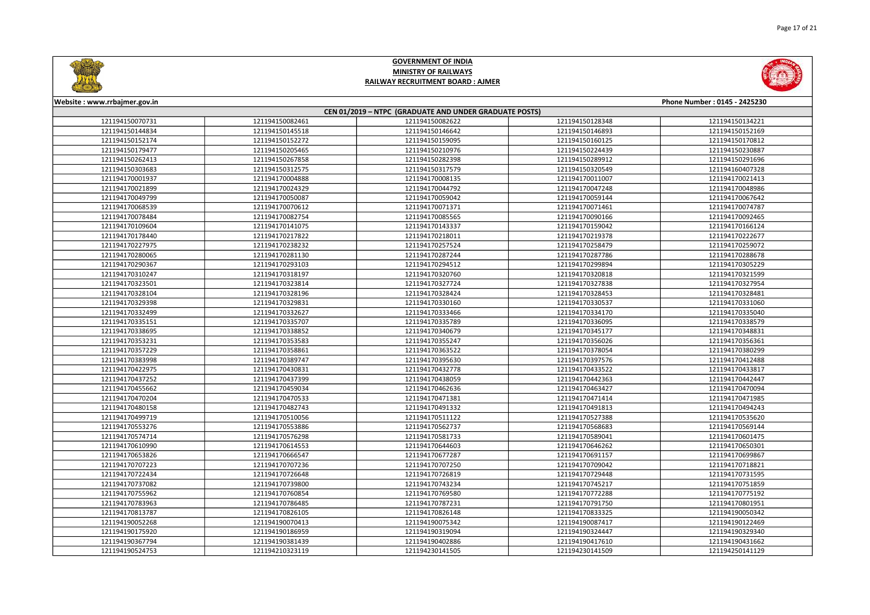



| Website: www.rrbajmer.gov.in<br>Phone Number: 0145 - 2425230 |                 |                 |                 |                 |  |
|--------------------------------------------------------------|-----------------|-----------------|-----------------|-----------------|--|
| CEN 01/2019 - NTPC (GRADUATE AND UNDER GRADUATE POSTS)       |                 |                 |                 |                 |  |
| 121194150070731                                              | 121194150082461 | 121194150082622 | 121194150128348 | 121194150134221 |  |
| 121194150144834                                              | 121194150145518 | 121194150146642 | 121194150146893 | 121194150152169 |  |
| 121194150152174                                              | 121194150152272 | 121194150159095 | 121194150160125 | 121194150170812 |  |
| 121194150179477                                              | 121194150205465 | 121194150210976 | 121194150224439 | 121194150230887 |  |
| 121194150262413                                              | 121194150267858 | 121194150282398 | 121194150289912 | 121194150291696 |  |
| 121194150303683                                              | 121194150312575 | 121194150317579 | 121194150320549 | 121194160407328 |  |
| 121194170001937                                              | 121194170004888 | 121194170008135 | 121194170011007 | 121194170021413 |  |
| 121194170021899                                              | 121194170024329 | 121194170044792 | 121194170047248 | 121194170048986 |  |
| 121194170049799                                              | 121194170050087 | 121194170059042 | 121194170059144 | 121194170067642 |  |
| 121194170068539                                              | 121194170070612 | 121194170071371 | 121194170071461 | 121194170074787 |  |
| 121194170078484                                              | 121194170082754 | 121194170085565 | 121194170090166 | 121194170092465 |  |
| 121194170109604                                              | 121194170141075 | 121194170143337 | 121194170159042 | 121194170166124 |  |
| 121194170178440                                              | 121194170217822 | 121194170218011 | 121194170219378 | 121194170222677 |  |
| 121194170227975                                              | 121194170238232 | 121194170257524 | 121194170258479 | 121194170259072 |  |
| 121194170280065                                              | 121194170281130 | 121194170287244 | 121194170287786 | 121194170288678 |  |
| 121194170290367                                              | 121194170293103 | 121194170294512 | 121194170299894 | 121194170305229 |  |
| 121194170310247                                              | 121194170318197 | 121194170320760 | 121194170320818 | 121194170321599 |  |
| 121194170323501                                              | 121194170323814 | 121194170327724 | 121194170327838 | 121194170327954 |  |
| 121194170328104                                              | 121194170328196 | 121194170328424 | 121194170328453 | 121194170328481 |  |
| 121194170329398                                              | 121194170329831 | 121194170330160 | 121194170330537 | 121194170331060 |  |
| 121194170332499                                              | 121194170332627 | 121194170333466 | 121194170334170 | 121194170335040 |  |
| 121194170335151                                              | 121194170335707 | 121194170335789 | 121194170336095 | 121194170338579 |  |
| 121194170338695                                              | 121194170338852 | 121194170340679 | 121194170345177 | 121194170348831 |  |
| 121194170353231                                              | 121194170353583 | 121194170355247 | 121194170356026 | 121194170356361 |  |
| 121194170357229                                              | 121194170358861 | 121194170363522 | 121194170378054 | 121194170380299 |  |
| 121194170383998                                              | 121194170389747 | 121194170395630 | 121194170397576 | 121194170412488 |  |
| 121194170422975                                              | 121194170430831 | 121194170432778 | 121194170433522 | 121194170433817 |  |
| 121194170437252                                              | 121194170437399 | 121194170438059 | 121194170442363 | 121194170442447 |  |
| 121194170455662                                              | 121194170459034 | 121194170462636 | 121194170463427 | 121194170470094 |  |
| 121194170470204                                              | 121194170470533 | 121194170471381 | 121194170471414 | 121194170471985 |  |
| 121194170480158                                              | 121194170482743 | 121194170491332 | 121194170491813 | 121194170494243 |  |
| 121194170499719                                              | 121194170510056 | 121194170511122 | 121194170527388 | 121194170535620 |  |
| 121194170553276                                              | 121194170553886 | 121194170562737 | 121194170568683 | 121194170569144 |  |
| 121194170574714                                              | 121194170576298 | 121194170581733 | 121194170589041 | 121194170601475 |  |
| 121194170610990                                              | 121194170614553 | 121194170644603 | 121194170646262 | 121194170650301 |  |
| 121194170653826                                              | 121194170666547 | 121194170677287 | 121194170691157 | 121194170699867 |  |
| 121194170707223                                              | 121194170707236 | 121194170707250 | 121194170709042 | 121194170718821 |  |
| 121194170722434                                              | 121194170726648 | 121194170726819 | 121194170729448 | 121194170731595 |  |
| 121194170737082                                              | 121194170739800 | 121194170743234 | 121194170745217 | 121194170751859 |  |
| 121194170755962                                              | 121194170760854 | 121194170769580 | 121194170772288 | 121194170775192 |  |
| 121194170783963                                              | 121194170786485 | 121194170787231 | 121194170791750 | 121194170801951 |  |
| 121194170813787                                              | 121194170826105 | 121194170826148 | 121194170833325 | 121194190050342 |  |
| 121194190052268                                              | 121194190070413 | 121194190075342 | 121194190087417 | 121194190122469 |  |
| 121194190175920                                              | 121194190186959 | 121194190319094 | 121194190324447 | 121194190329340 |  |
| 121194190367794                                              | 121194190381439 | 121194190402886 | 121194190417610 | 121194190431662 |  |
| 121194190524753                                              | 121194210323119 | 121194230141505 | 121194230141509 | 121194250141129 |  |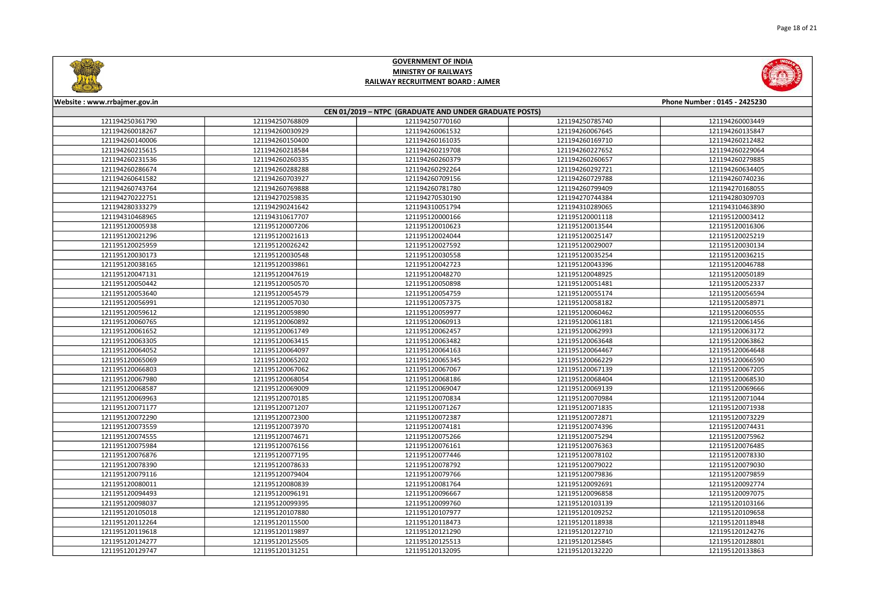



| Phone Number: 0145 - 2425230<br>Website: www.rrbajmer.gov.in |                 |                 |                 |                 |  |
|--------------------------------------------------------------|-----------------|-----------------|-----------------|-----------------|--|
| CEN 01/2019 - NTPC (GRADUATE AND UNDER GRADUATE POSTS)       |                 |                 |                 |                 |  |
| 121194250361790                                              | 121194250768809 | 121194250770160 | 121194250785740 | 121194260003449 |  |
| 121194260018267                                              | 121194260030929 | 121194260061532 | 121194260067645 | 121194260135847 |  |
| 121194260140006                                              | 121194260150400 | 121194260161035 | 121194260169710 | 121194260212482 |  |
| 121194260215615                                              | 121194260218584 | 121194260219708 | 121194260227652 | 121194260229064 |  |
| 121194260231536                                              | 121194260260335 | 121194260260379 | 121194260260657 | 121194260279885 |  |
| 121194260286674                                              | 121194260288288 | 121194260292264 | 121194260292721 | 121194260634405 |  |
| 121194260641582                                              | 121194260703927 | 121194260709156 | 121194260729788 | 121194260740236 |  |
| 121194260743764                                              | 121194260769888 | 121194260781780 | 121194260799409 | 121194270168055 |  |
| 121194270222751                                              | 121194270259835 | 121194270530190 | 121194270744384 | 121194280309703 |  |
| 121194280333279                                              | 121194290241642 | 121194310051794 | 121194310289065 | 121194310463890 |  |
| 121194310468965                                              | 121194310617707 | 121195120000166 | 121195120001118 | 121195120003412 |  |
| 121195120005938                                              | 121195120007206 | 121195120010623 | 121195120013544 | 121195120016306 |  |
| 121195120021296                                              | 121195120021613 | 121195120024044 | 121195120025147 | 121195120025219 |  |
| 121195120025959                                              | 121195120026242 | 121195120027592 | 121195120029007 | 121195120030134 |  |
| 121195120030173                                              | 121195120030548 | 121195120030558 | 121195120035254 | 121195120036215 |  |
| 121195120038165                                              | 121195120039861 | 121195120042723 | 121195120043396 | 121195120046788 |  |
| 121195120047131                                              | 121195120047619 | 121195120048270 | 121195120048925 | 121195120050189 |  |
| 121195120050442                                              | 121195120050570 | 121195120050898 | 121195120051481 | 121195120052337 |  |
| 121195120053640                                              | 121195120054579 | 121195120054759 | 121195120055174 | 121195120056594 |  |
| 121195120056991                                              | 121195120057030 | 121195120057375 | 121195120058182 | 121195120058971 |  |
| 121195120059612                                              | 121195120059890 | 121195120059977 | 121195120060462 | 121195120060555 |  |
| 121195120060765                                              | 121195120060892 | 121195120060913 | 121195120061181 | 121195120061456 |  |
| 121195120061652                                              | 121195120061749 | 121195120062457 | 121195120062993 | 121195120063172 |  |
| 121195120063305                                              | 121195120063415 | 121195120063482 | 121195120063648 | 121195120063862 |  |
| 121195120064052                                              | 121195120064097 | 121195120064163 | 121195120064467 | 121195120064648 |  |
| 121195120065069                                              | 121195120065202 | 121195120065345 | 121195120066229 | 121195120066590 |  |
| 121195120066803                                              | 121195120067062 | 121195120067067 | 121195120067139 | 121195120067205 |  |
| 121195120067980                                              | 121195120068054 | 121195120068186 | 121195120068404 | 121195120068530 |  |
| 121195120068587                                              | 121195120069009 | 121195120069047 | 121195120069139 | 121195120069666 |  |
| 121195120069963                                              | 121195120070185 | 121195120070834 | 121195120070984 | 121195120071044 |  |
| 121195120071177                                              | 121195120071207 | 121195120071267 | 121195120071835 | 121195120071938 |  |
| 121195120072290                                              | 121195120072300 | 121195120072387 | 121195120072871 | 121195120073229 |  |
| 121195120073559                                              | 121195120073970 | 121195120074181 | 121195120074396 | 121195120074431 |  |
| 121195120074555                                              | 121195120074671 | 121195120075266 | 121195120075294 | 121195120075962 |  |
| 121195120075984                                              | 121195120076156 | 121195120076161 | 121195120076363 | 121195120076485 |  |
| 121195120076876                                              | 121195120077195 | 121195120077446 | 121195120078102 | 121195120078330 |  |
| 121195120078390                                              | 121195120078633 | 121195120078792 | 121195120079022 | 121195120079030 |  |
| 121195120079116                                              | 121195120079404 | 121195120079766 | 121195120079836 | 121195120079859 |  |
| 121195120080011                                              | 121195120080839 | 121195120081764 | 121195120092691 | 121195120092774 |  |
| 121195120094493                                              | 121195120096191 | 121195120096667 | 121195120096858 | 121195120097075 |  |
| 121195120098037                                              | 121195120099395 | 121195120099760 | 121195120103139 | 121195120103166 |  |
| 121195120105018                                              | 121195120107880 | 121195120107977 | 121195120109252 | 121195120109658 |  |
| 121195120112264                                              | 121195120115500 | 121195120118473 | 121195120118938 | 121195120118948 |  |
| 121195120119618                                              | 121195120119897 | 121195120121290 | 121195120122710 | 121195120124276 |  |
| 121195120124277                                              | 121195120125505 | 121195120125513 | 121195120125845 | 121195120128801 |  |
| 121195120129747                                              | 121195120131251 | 121195120132095 | 121195120132220 | 121195120133863 |  |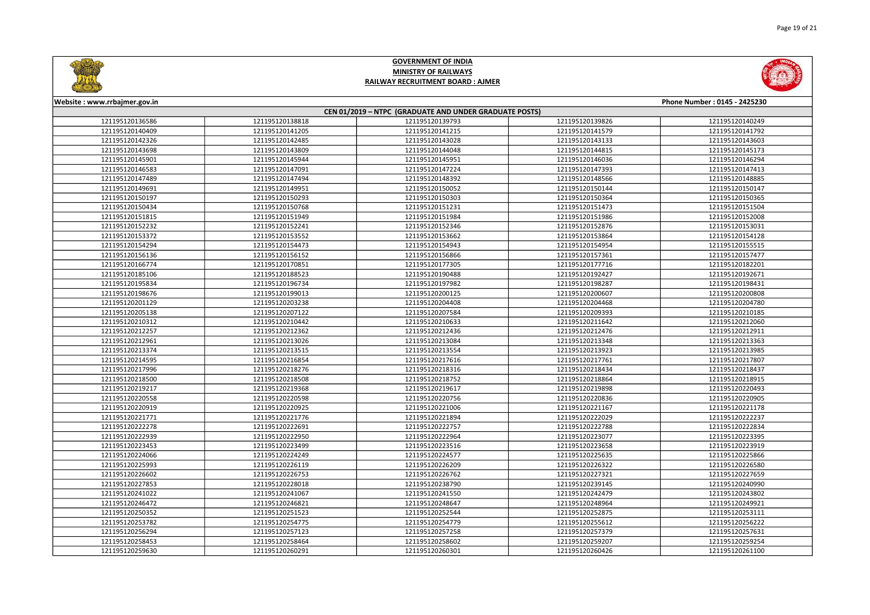



| Website: www.rrbajmer.gov.in                           |                 |                 |                 | Phone Number: 0145 - 2425230 |  |
|--------------------------------------------------------|-----------------|-----------------|-----------------|------------------------------|--|
| CEN 01/2019 - NTPC (GRADUATE AND UNDER GRADUATE POSTS) |                 |                 |                 |                              |  |
| 121195120136586                                        | 121195120138818 | 121195120139793 | 121195120139826 | 121195120140249              |  |
| 121195120140409                                        | 121195120141205 | 121195120141215 | 121195120141579 | 121195120141792              |  |
| 121195120142326                                        | 121195120142485 | 121195120143028 | 121195120143133 | 121195120143603              |  |
| 121195120143698                                        | 121195120143809 | 121195120144048 | 121195120144815 | 121195120145173              |  |
| 121195120145901                                        | 121195120145944 | 121195120145951 | 121195120146036 | 121195120146294              |  |
| 121195120146583                                        | 121195120147091 | 121195120147224 | 121195120147393 | 121195120147413              |  |
| 121195120147489                                        | 121195120147494 | 121195120148392 | 121195120148566 | 121195120148885              |  |
| 121195120149691                                        | 121195120149951 | 121195120150052 | 121195120150144 | 121195120150147              |  |
| 121195120150197                                        | 121195120150293 | 121195120150303 | 121195120150364 | 121195120150365              |  |
| 121195120150434                                        | 121195120150768 | 121195120151231 | 121195120151473 | 121195120151504              |  |
| 121195120151815                                        | 121195120151949 | 121195120151984 | 121195120151986 | 121195120152008              |  |
| 121195120152232                                        | 121195120152241 | 121195120152346 | 121195120152876 | 121195120153031              |  |
| 121195120153372                                        | 121195120153552 | 121195120153662 | 121195120153864 | 121195120154128              |  |
| 121195120154294                                        | 121195120154473 | 121195120154943 | 121195120154954 | 121195120155515              |  |
| 121195120156136                                        | 121195120156152 | 121195120156866 | 121195120157361 | 121195120157477              |  |
| 121195120166774                                        | 121195120170851 | 121195120177305 | 121195120177716 | 121195120182201              |  |
| 121195120185106                                        | 121195120188523 | 121195120190488 | 121195120192427 | 121195120192671              |  |
| 121195120195834                                        | 121195120196734 | 121195120197982 | 121195120198287 | 121195120198431              |  |
| 121195120198676                                        | 121195120199013 | 121195120200125 | 121195120200607 | 121195120200808              |  |
| 121195120201129                                        | 121195120203238 | 121195120204408 | 121195120204468 | 121195120204780              |  |
| 121195120205138                                        | 121195120207122 | 121195120207584 | 121195120209393 | 121195120210185              |  |
| 121195120210312                                        | 121195120210442 | 121195120210633 | 121195120211642 | 121195120212060              |  |
| 121195120212257                                        | 121195120212362 | 121195120212436 | 121195120212476 | 121195120212911              |  |
| 121195120212961                                        | 121195120213026 | 121195120213084 | 121195120213348 | 121195120213363              |  |
| 121195120213374                                        | 121195120213515 | 121195120213554 | 121195120213923 | 121195120213985              |  |
| 121195120214595                                        | 121195120216854 | 121195120217616 | 121195120217761 | 121195120217807              |  |
| 121195120217996                                        | 121195120218276 | 121195120218316 | 121195120218434 | 121195120218437              |  |
| 121195120218500                                        | 121195120218508 | 121195120218752 | 121195120218864 | 121195120218915              |  |
| 121195120219217                                        | 121195120219368 | 121195120219617 | 121195120219898 | 121195120220493              |  |
| 121195120220558                                        | 121195120220598 | 121195120220756 | 121195120220836 | 121195120220905              |  |
| 121195120220919                                        | 121195120220925 | 121195120221006 | 121195120221167 | 121195120221178              |  |
| 121195120221771                                        | 121195120221776 | 121195120221894 | 121195120222029 | 121195120222237              |  |
| 121195120222278                                        | 121195120222691 | 121195120222757 | 121195120222788 | 121195120222834              |  |
| 121195120222939                                        | 121195120222950 | 121195120222964 | 121195120223077 | 121195120223395              |  |
| 121195120223453                                        | 121195120223499 | 121195120223516 | 121195120223658 | 121195120223919              |  |
| 121195120224066                                        | 121195120224249 | 121195120224577 | 121195120225635 | 121195120225866              |  |
| 121195120225993                                        | 121195120226119 | 121195120226209 | 121195120226322 | 121195120226580              |  |
| 121195120226602                                        | 121195120226753 | 121195120226762 | 121195120227321 | 121195120227659              |  |
| 121195120227853                                        | 121195120228018 | 121195120238790 | 121195120239145 | 121195120240990              |  |
| 121195120241022                                        | 121195120241067 | 121195120241550 | 121195120242479 | 121195120243802              |  |
| 121195120246472                                        | 121195120246821 | 121195120248647 | 121195120248964 | 121195120249921              |  |
| 121195120250352                                        | 121195120251523 | 121195120252544 | 121195120252875 | 121195120253111              |  |
| 121195120253782                                        | 121195120254775 | 121195120254779 | 121195120255612 | 121195120256222              |  |
| 121195120256294                                        | 121195120257123 | 121195120257258 | 121195120257379 | 121195120257631              |  |
| 121195120258453                                        | 121195120258464 | 121195120258602 | 121195120259207 | 121195120259254              |  |
| 121195120259630                                        | 121195120260291 | 121195120260301 | 121195120260426 | 121195120261100              |  |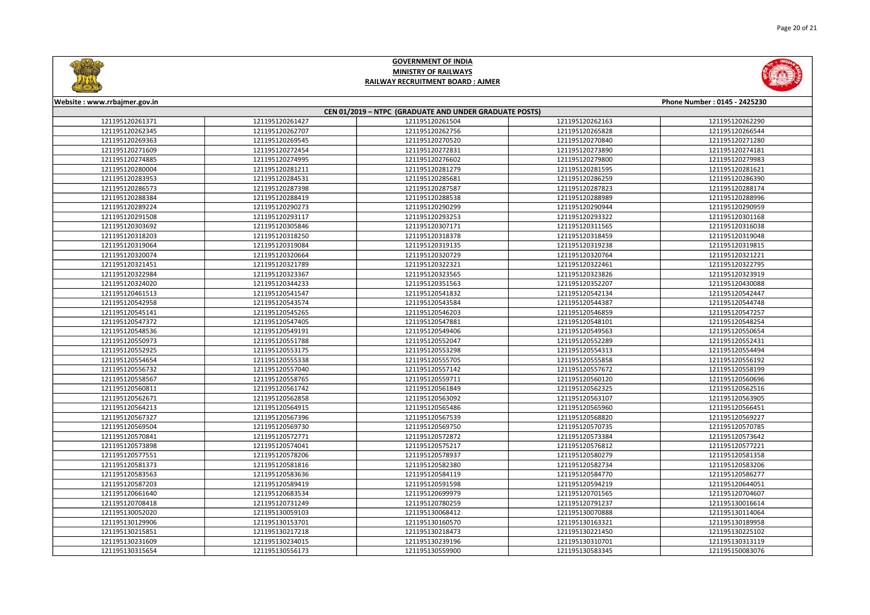



| Website: www.rrbajmer.gov.in                           |                 |                 |                 | Phone Number: 0145 - 2425230 |  |
|--------------------------------------------------------|-----------------|-----------------|-----------------|------------------------------|--|
| CEN 01/2019 - NTPC (GRADUATE AND UNDER GRADUATE POSTS) |                 |                 |                 |                              |  |
| 121195120261371                                        | 121195120261427 | 121195120261504 | 121195120262163 | 121195120262290              |  |
| 121195120262345                                        | 121195120262707 | 121195120262756 | 121195120265828 | 121195120266544              |  |
| 121195120269363                                        | 121195120269545 | 121195120270520 | 121195120270840 | 121195120271280              |  |
| 121195120271609                                        | 121195120272454 | 121195120272831 | 121195120273890 | 121195120274181              |  |
| 121195120274885                                        | 121195120274995 | 121195120276602 | 121195120279800 | 121195120279983              |  |
| 121195120280004                                        | 121195120281211 | 121195120281279 | 121195120281595 | 121195120281621              |  |
| 121195120283953                                        | 121195120284531 | 121195120285681 | 121195120286259 | 121195120286390              |  |
| 121195120286573                                        | 121195120287398 | 121195120287587 | 121195120287823 | 121195120288174              |  |
| 121195120288384                                        | 121195120288419 | 121195120288538 | 121195120288989 | 121195120288996              |  |
| 121195120289224                                        | 121195120290273 | 121195120290299 | 121195120290944 | 121195120290959              |  |
| 121195120291508                                        | 121195120293117 | 121195120293253 | 121195120293322 | 121195120301168              |  |
| 121195120303692                                        | 121195120305846 | 121195120307171 | 121195120311565 | 121195120316038              |  |
| 121195120318203                                        | 121195120318250 | 121195120318378 | 121195120318459 | 121195120319048              |  |
| 121195120319064                                        | 121195120319084 | 121195120319135 | 121195120319238 | 121195120319815              |  |
| 121195120320074                                        | 121195120320664 | 121195120320729 | 121195120320764 | 121195120321221              |  |
| 121195120321451                                        | 121195120321789 | 121195120322321 | 121195120322461 | 121195120322795              |  |
| 121195120322984                                        | 121195120323367 | 121195120323565 | 121195120323826 | 121195120323919              |  |
| 121195120324020                                        | 121195120344233 | 121195120351563 | 121195120352207 | 121195120430088              |  |
| 121195120461513                                        | 121195120541547 | 121195120541832 | 121195120542134 | 121195120542447              |  |
| 121195120542958                                        | 121195120543574 | 121195120543584 | 121195120544387 | 121195120544748              |  |
| 121195120545141                                        | 121195120545265 | 121195120546203 | 121195120546859 | 121195120547257              |  |
| 121195120547372                                        | 121195120547405 | 121195120547881 | 121195120548101 | 121195120548254              |  |
| 121195120548536                                        | 121195120549191 | 121195120549406 | 121195120549563 | 121195120550654              |  |
| 121195120550973                                        | 121195120551788 | 121195120552047 | 121195120552289 | 121195120552431              |  |
| 121195120552925                                        | 121195120553175 | 121195120553298 | 121195120554313 | 121195120554494              |  |
| 121195120554654                                        | 121195120555338 | 121195120555705 | 121195120555858 | 121195120556192              |  |
| 121195120556732                                        | 121195120557040 | 121195120557142 | 121195120557672 | 121195120558199              |  |
| 121195120558567                                        | 121195120558765 | 121195120559711 | 121195120560120 | 121195120560696              |  |
| 121195120560811                                        | 121195120561742 | 121195120561849 | 121195120562325 | 121195120562516              |  |
| 121195120562671                                        | 121195120562858 | 121195120563092 | 121195120563107 | 121195120563905              |  |
| 121195120564213                                        | 121195120564915 | 121195120565486 | 121195120565960 | 121195120566451              |  |
| 121195120567327                                        | 121195120567396 | 121195120567539 | 121195120568820 | 121195120569227              |  |
| 121195120569504                                        | 121195120569730 | 121195120569750 | 121195120570735 | 121195120570785              |  |
| 121195120570841                                        | 121195120572771 | 121195120572872 | 121195120573384 | 121195120573642              |  |
| 121195120573898                                        | 121195120574041 | 121195120575217 | 121195120576812 | 121195120577221              |  |
| 121195120577551                                        | 121195120578206 | 121195120578937 | 121195120580279 | 121195120581358              |  |
| 121195120581373                                        | 121195120581816 | 121195120582380 | 121195120582734 | 121195120583206              |  |
| 121195120583563                                        | 121195120583636 | 121195120584119 | 121195120584770 | 121195120586277              |  |
| 121195120587203                                        | 121195120589419 | 121195120591598 | 121195120594219 | 121195120644051              |  |
| 121195120661640                                        | 121195120683534 | 121195120699979 | 121195120701565 | 121195120704607              |  |
| 121195120708418                                        | 121195120731249 | 121195120780259 | 121195120791237 | 121195130016614              |  |
| 121195130052020                                        | 121195130059103 | 121195130068412 | 121195130070888 | 121195130114064              |  |
| 121195130129906                                        | 121195130153701 | 121195130160570 | 121195130163321 | 121195130189958              |  |
| 121195130215851                                        | 121195130217218 | 121195130218473 | 121195130221450 | 121195130225102              |  |
| 121195130231609                                        | 121195130234015 | 121195130239196 | 121195130310701 | 121195130313119              |  |
| 121195130315654                                        | 121195130556173 | 121195130559900 | 121195130583345 | 121195150083076              |  |